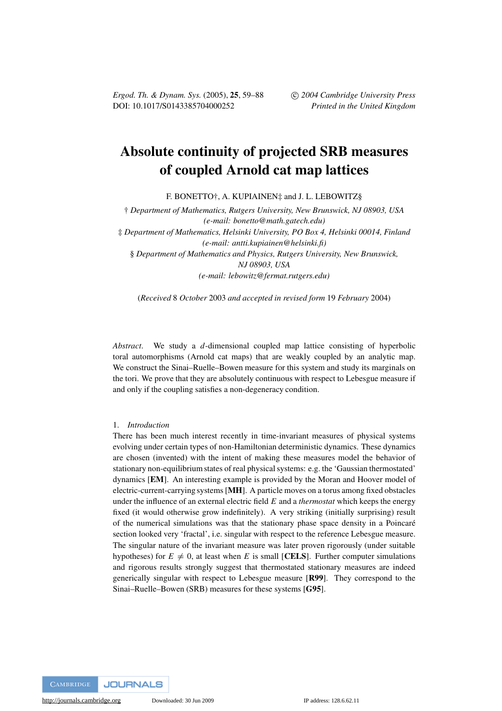*Ergod. Th. & Dynam. Sys.* (2005), **25**, 59–88 c *2004 Cambridge University Press* DOI: 10.1017/S0143385704000252 *Printed in the United Kingdom*

# **Absolute continuity of projected SRB measures of coupled Arnold cat map lattices**

F. BONETTO†, A. KUPIAINEN‡ and J. L. LEBOWITZ§

† *Department of Mathematics, Rutgers University, New Brunswick, NJ 08903, USA (e-mail: bonetto@math.gatech.edu)* ‡ *Department of Mathematics, Helsinki University, PO Box 4, Helsinki 00014, Finland (e-mail: antti.kupiainen@helsinki.fi)* § *Department of Mathematics and Physics, Rutgers University, New Brunswick, NJ 08903, USA*

*(e-mail: lebowitz@fermat.rutgers.edu)*

(*Received* 8 *October* 2003 *and accepted in revised form* 19 *February* 2004)

*Abstract*. We study a *d*-dimensional coupled map lattice consisting of hyperbolic toral automorphisms (Arnold cat maps) that are weakly coupled by an analytic map. We construct the Sinai–Ruelle–Bowen measure for this system and study its marginals on the tori. We prove that they are absolutely continuous with respect to Lebesgue measure if and only if the coupling satisfies a non-degeneracy condition.

## 1. *Introduction*

There has been much interest recently in time-invariant measures of physical systems evolving under certain types of non-Hamiltonian deterministic dynamics. These dynamics are chosen (invented) with the intent of making these measures model the behavior of stationary non-equilibrium states of real physical systems: e.g. the 'Gaussian thermostated' dynamics [**EM**]. An interesting example is provided by the Moran and Hoover model of electric-current-carrying systems [**MH**]. A particle moves on a torus among fixed obstacles under the influence of an external electric field *E* and a *thermostat* which keeps the energy fixed (it would otherwise grow indefinitely). A very striking (initially surprising) result of the numerical simulations was that the stationary phase space density in a Poincar´e section looked very 'fractal', i.e. singular with respect to the reference Lebesgue measure. The singular nature of the invariant measure was later proven rigorously (under suitable hypotheses) for  $E \neq 0$ , at least when *E* is small [CELS]. Further computer simulations and rigorous results strongly suggest that thermostated stationary measures are indeed generically singular with respect to Lebesgue measure [**R99**]. They correspond to the Sinai–Ruelle–Bowen (SRB) measures for these systems [**G95**].

**CAMBRIDGE JOURNALS**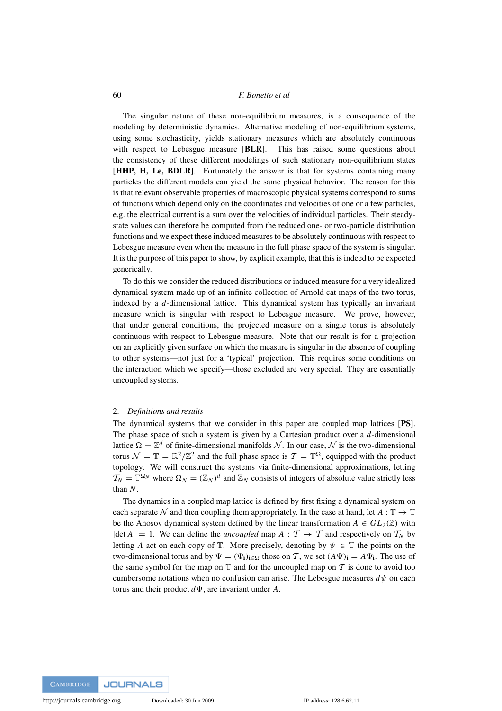The singular nature of these non-equilibrium measures, is a consequence of the modeling by deterministic dynamics. Alternative modeling of non-equilibrium systems, using some stochasticity, yields stationary measures which are absolutely continuous with respect to Lebesgue measure [**BLR**]. This has raised some questions about the consistency of these different modelings of such stationary non-equilibrium states [**HHP, H, Le, BDLR**]. Fortunately the answer is that for systems containing many particles the different models can yield the same physical behavior. The reason for this is that relevant observable properties of macroscopic physical systems correspond to sums of functions which depend only on the coordinates and velocities of one or a few particles, e.g. the electrical current is a sum over the velocities of individual particles. Their steadystate values can therefore be computed from the reduced one- or two-particle distribution functions and we expect these induced measures to be absolutely continuous with respect to Lebesgue measure even when the measure in the full phase space of the system is singular. It is the purpose of this paper to show, by explicit example, that this is indeed to be expected generically.

To do this we consider the reduced distributions or induced measure for a very idealized dynamical system made up of an infinite collection of Arnold cat maps of the two torus, indexed by a *d*-dimensional lattice. This dynamical system has typically an invariant measure which is singular with respect to Lebesgue measure. We prove, however, that under general conditions, the projected measure on a single torus is absolutely continuous with respect to Lebesgue measure. Note that our result is for a projection on an explicitly given surface on which the measure is singular in the absence of coupling to other systems—not just for a 'typical' projection. This requires some conditions on the interaction which we specify—those excluded are very special. They are essentially uncoupled systems.

#### 2. *Definitions and results*

The dynamical systems that we consider in this paper are coupled map lattices [**PS**]. The phase space of such a system is given by a Cartesian product over a *d*-dimensional lattice  $\Omega = \mathbb{Z}^d$  of finite-dimensional manifolds N. In our case, N is the two-dimensional torus  $\mathcal{N} = \mathbb{T} = \mathbb{R}^2/\mathbb{Z}^2$  and the full phase space is  $\mathcal{T} = \mathbb{T}^{\Omega}$ , equipped with the product topology. We will construct the systems via finite-dimensional approximations, letting  $\mathcal{T}_N = \mathbb{T}^{\Omega_N}$  where  $\Omega_N = (\mathbb{Z}_N)^d$  and  $\mathbb{Z}_N$  consists of integers of absolute value strictly less than *N*.

The dynamics in a coupled map lattice is defined by first fixing a dynamical system on each separate N and then coupling them appropriately. In the case at hand, let  $A : \mathbb{T} \to \mathbb{T}$ be the Anosov dynamical system defined by the linear transformation  $A \in GL_2(\mathbb{Z})$  with  $|\det A| = 1$ . We can define the *uncoupled* map  $A: \mathcal{T} \to \mathcal{T}$  and respectively on  $\mathcal{T}_N$  by letting *A* act on each copy of  $\mathbb{T}$ . More precisely, denoting by  $\psi \in \mathbb{T}$  the points on the two-dimensional torus and by  $\Psi = (\Psi_i)_{i \in \Omega}$  those on *T*, we set  $(A\Psi)_i = A\Psi_i$ . The use of the same symbol for the map on  $\mathbb T$  and for the uncoupled map on  $\mathcal T$  is done to avoid too cumbersome notations when no confusion can arise. The Lebesgue measures  $d\psi$  on each torus and their product  $d\Psi$ , are invariant under A.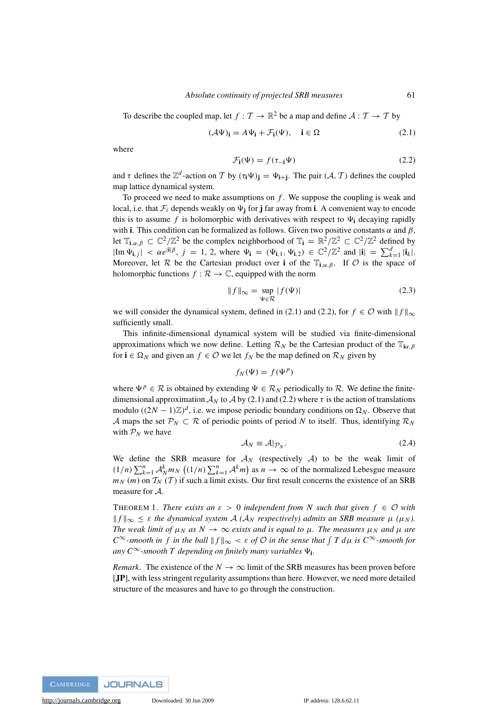To describe the coupled map, let  $f : \mathcal{T} \to \mathbb{R}^2$  be a map and define  $\mathcal{A} : \mathcal{T} \to \mathcal{T}$  by

$$
(\mathcal{A}\Psi)_i = A\Psi_i + \mathcal{F}_i(\Psi), \quad i \in \Omega \tag{2.1}
$$

where

$$
\mathcal{F}_{\mathbf{i}}(\Psi) = f(\tau_{-\mathbf{i}}\Psi) \tag{2.2}
$$

and *τ* defines the  $\mathbb{Z}^d$ -action on *T* by  $(\tau_i \Psi)_j = \Psi_{i+j}$ . The pair  $(A, \mathcal{T})$  defines the coupled map lattice dynamical system.

To proceed we need to make assumptions on *f* . We suppose the coupling is weak and local, i.e. that  $\mathcal{F}_i$  depends weakly on  $\Psi_i$  for **j** far away from **i**. A convenient way to encode this is to assume f is holomorphic with derivatives with respect to  $\Psi_i$  decaying rapidly with **i**. This condition can be formalized as follows. Given two positive constants  $\alpha$  and  $\beta$ , let  $\mathbb{T}_{\mathbf{i},\alpha,\beta} \subset \mathbb{C}^2/\mathbb{Z}^2$  be the complex neighborhood of  $\mathbb{T}_{\mathbf{i}} = \mathbb{R}^2/\mathbb{Z}^2 \subset \mathbb{C}^2/\mathbb{Z}^2$  defined by  $|\text{Im } \Psi_{i,j}| < \alpha e^{|i|\beta}, j = 1, 2$ , where  $\Psi_i = (\Psi_{i,1}, \Psi_{i,2}) \in \mathbb{C}^2/\mathbb{Z}^2$  and  $|i| = \sum_{k=1}^d |i_k|$ . Moreover, let  $\mathcal{R}$  be the Cartesian product over **i** of the  $\mathbb{T}_{i,\alpha,\beta}$ . If  $\mathcal{O}$  is the space of holomorphic functions  $f : \mathcal{R} \to \mathbb{C}$ , equipped with the norm

$$
||f||_{\infty} = \sup_{\Psi \in \mathcal{R}} |f(\Psi)| \tag{2.3}
$$

we will consider the dynamical system, defined in (2.1) and (2.2), for  $f \in \mathcal{O}$  with  $||f||_{\infty}$ sufficiently small.

This infinite-dimensional dynamical system will be studied via finite-dimensional approximations which we now define. Letting  $\mathcal{R}_N$  be the Cartesian product of the  $\mathbb{T}_{i\alpha,\beta}$ for  $\mathbf{i} \in \Omega_N$  and given an  $f \in \mathcal{O}$  we let  $f_N$  be the map defined on  $\mathcal{R}_N$  given by

$$
f_N(\Psi) = f(\Psi^p)
$$

where  $\Psi^p \in \mathcal{R}$  is obtained by extending  $\Psi \in \mathcal{R}_N$  periodically to  $\mathcal{R}$ . We define the finitedimensional approximation  $A_N$  to  $A$  by (2.1) and (2.2) where  $\tau$  is the action of translations modulo  $((2N - 1)Z)^d$ , i.e. we impose periodic boundary conditions on  $\Omega_N$ . Observe that *A* maps the set  $P_N \subset \mathcal{R}$  of periodic points of period *N* to itself. Thus, identifying  $\mathcal{R}_N$ with  $P_N$  we have

$$
\mathcal{A}_N \equiv \mathcal{A}|_{\mathcal{P}_N}.\tag{2.4}
$$

We define the SRB measure for  $A_N$  (respectively  $A$ ) to be the weak limit of  $(1/n)$   $\sum_{k=1}^{n} A_{N}^{k} m_{N}$   $((1/n)$   $\sum_{k=1}^{n} A^{k} m)$  as  $n \to \infty$  of the normalized Lebesgue measure  $m_N$  (*m*) on  $T_N$  (*T*) if such a limit exists. Our first result concerns the existence of an SRB measure for *A*.

THEOREM 1. *There exists an*  $\varepsilon > 0$  *independent from N such that given*  $f \in \mathcal{O}$  *with*  $|| f ||_{\infty} \leq \varepsilon$  *the dynamical system*  $\mathcal{A}$  *(* $\mathcal{A}_N$  *respectively) admits an SRB measure*  $\mu$  *(* $\mu_N$ *). The weak limit of*  $\mu_N$  *as*  $N \to \infty$  *exists and is equal to*  $\mu$ *. The measures*  $\mu_N$  *and*  $\mu$  *are*  $C^{\infty}$ -smooth in *f* in the ball  $||f||_{\infty} < \varepsilon$  of  $\mathcal O$  in the sense that  $\int T d\mu$  is  $C^{\infty}$ -smooth for  $\alpha$ <sub>*any*</sub>  $C^∞$ *-smooth T depending on finitely many variables*  $\Psi$ <sub>*i</sub>*.</sub>

*Remark.* The existence of the  $N \to \infty$  limit of the SRB measures has been proven before [**JP**], with less stringent regularity assumptions than here. However, we need more detailed structure of the measures and have to go through the construction.

**CAMBRIDGE JOURNAI**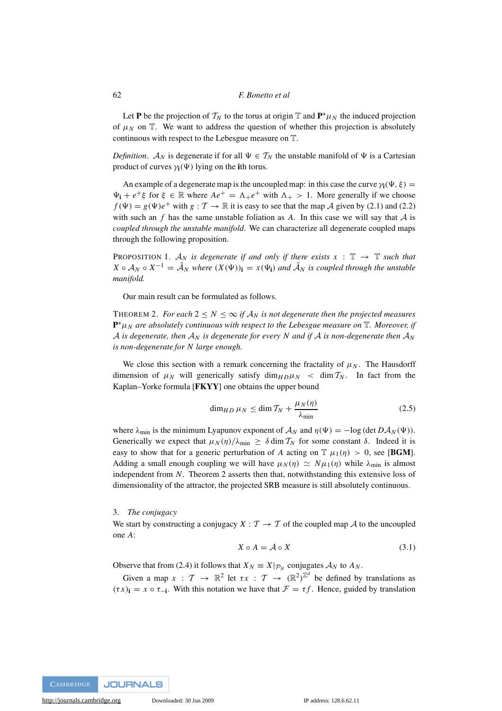Let **P** be the projection of  $T_N$  to the torus at origin T and  $P^* \mu_N$  the induced projection of  $\mu_N$  on  $\mathbb T$ . We want to address the question of whether this projection is absolutely continuous with respect to the Lebesgue measure on T.

*Definition. A<sub>N</sub>* is degenerate if for all  $\Psi \in \mathcal{T}_N$  the unstable manifold of  $\Psi$  is a Cartesian product of curves  $\gamma_i(\Psi)$  lying on the ith torus.

An example of a degenerate map is the uncoupled map: in this case the curve  $\gamma_1(\Psi, \xi)$  =  $\Psi_i + e^+ \xi$  for  $\xi \in \mathbb{R}$  where  $Ae^+ = \Lambda_+ e^+$  with  $\Lambda_+ > 1$ . More generally if we choose  $f(\Psi) = g(\Psi)e^+$  with  $g: \mathcal{T} \to \mathbb{R}$  it is easy to see that the map A given by (2.1) and (2.2) with such an  $f$  has the same unstable foliation as  $A$ . In this case we will say that  $A$  is *coupled through the unstable manifold*. We can characterize all degenerate coupled maps through the following proposition.

PROPOSITION 1. *A<sub>N</sub>* is degenerate if and only if there exists  $x : \mathbb{T} \to \mathbb{T}$  such that *X* ◦  $A_N$  ◦  $X^{-1} = \tilde{A}_N$  *where*  $(X(\Psi))$ **i** =  $x(\Psi)$ *and*  $\tilde{A}_N$  *is coupled through the unstable manifold.*

Our main result can be formulated as follows.

THEOREM 2. *For each*  $2 < N < \infty$  *if*  $A_N$  *is not degenerate then the projected measures* **P**<sup>∗</sup>*µN are absolutely continuous with respect to the Lebesgue measure on* T*. Moreover, if A is degenerate, then*  $A_N$  *is degenerate for every N and if A is non-degenerate then*  $A_N$ *is non-degenerate for N large enough.*

We close this section with a remark concerning the fractality of  $\mu<sub>N</sub>$ . The Hausdorff dimension of  $\mu_N$  will generically satisfy  $\dim_{HD}\mu_N < \dim T_N$ . In fact from the Kaplan–Yorke formula [**FKYY**] one obtains the upper bound

$$
\dim_{HD} \mu_N \le \dim \mathcal{T}_N + \frac{\mu_N(\eta)}{\lambda_{\min}} \tag{2.5}
$$

where  $\lambda_{\min}$  is the minimum Lyapunov exponent of  $\mathcal{A}_N$  and  $\eta(\Psi) = -\log(\det D\mathcal{A}_N(\Psi))$ . Generically we expect that  $\mu_N(\eta)/\lambda_{\text{min}} \geq \delta \dim \mathcal{T}_N$  for some constant  $\delta$ . Indeed it is easy to show that for a generic perturbation of *A* acting on  $\mathbb{T} \mu_1(\eta) > 0$ , see [BGM]. Adding a small enough coupling we will have  $\mu_N(\eta) \simeq N\mu_1(\eta)$  while  $\lambda_{\min}$  is almost independent from *N*. Theorem 2 asserts then that, notwithstanding this extensive loss of dimensionality of the attractor, the projected SRB measure is still absolutely continuous.

## 3. *The conjugacy*

We start by constructing a conjugacy  $X : \mathcal{T} \to \mathcal{T}$  of the coupled map  $\mathcal{A}$  to the uncoupled one *A*:

$$
X \circ A = \mathcal{A} \circ X \tag{3.1}
$$

Observe that from (2.4) it follows that  $X_N \equiv X|_{\mathcal{P}_N}$  conjugates  $\mathcal{A}_N$  to  $A_N$ .

Given a map  $x : \mathcal{T} \to \mathbb{R}^2$  let  $\tau x : \mathcal{T} \to (\mathbb{R}^2)^{\mathbb{Z}^d}$  be defined by translations as  $(\tau x)$ **i** = *x* ◦ *τ*<sub>−**i**</sub>. With this notation we have that  $\mathcal{F} = \tau f$ . Hence, guided by translation

**CAMBRIDGE JOURNA**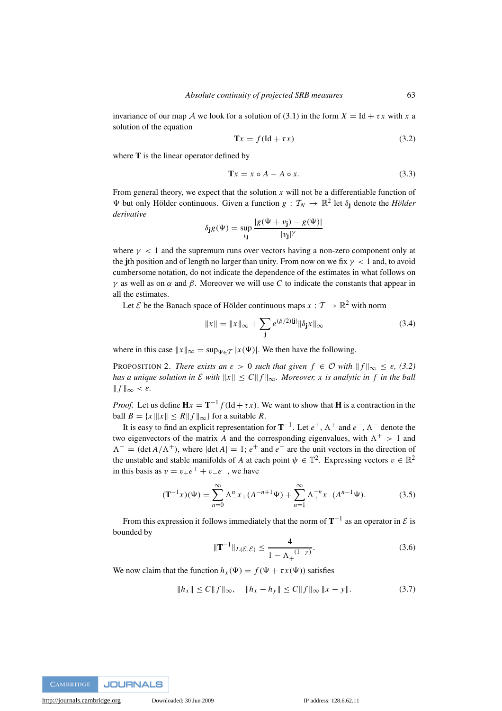invariance of our map *A* we look for a solution of (3.1) in the form  $X = Id + \tau x$  with *x* a solution of the equation

$$
\mathbf{T}x = f(\mathrm{Id} + \tau x) \tag{3.2}
$$

where **T** is the linear operator defined by

$$
\mathbf{T}x = x \circ A - A \circ x. \tag{3.3}
$$

From general theory, we expect that the solution  $x$  will not be a differentiable function of  $\Psi$  but only Hölder continuous. Given a function  $g : T_N \to \mathbb{R}^2$  let  $\delta_i$  denote the *Hölder derivative*

$$
\delta_j g(\Psi) = \sup_{v_j} \frac{|g(\Psi + v_j) - g(\Psi)|}{|v_j|^\gamma}
$$

where  $\gamma$  < 1 and the supremum runs over vectors having a non-zero component only at the **j**th position and of length no larger than unity. From now on we fix *γ <* 1 and, to avoid cumbersome notation, do not indicate the dependence of the estimates in what follows on *γ* as well as on *α* and *β*. Moreover we will use *C* to indicate the constants that appear in all the estimates.

Let  $\mathcal E$  be the Banach space of Hölder continuous maps  $x : \mathcal T \to \mathbb R^2$  with norm

$$
||x|| = ||x||_{\infty} + \sum_{j} e^{(\beta/2)|j|} ||\delta_{j}x||_{\infty}
$$
 (3.4)

where in this case  $||x||_{\infty} = \sup_{\Psi \in \mathcal{T}} |x(\Psi)|$ . We then have the following.

**PROPOSITION 2.** *There exists an*  $\varepsilon > 0$  *such that given*  $f \in \mathcal{O}$  *with*  $||f||_{\infty} \leq \varepsilon$ , (3.2) *has a unique solution in*  $\mathcal E$  *with*  $||x|| \leq C ||f||_{\infty}$ *. Moreover, x is analytic in*  $f$  *in the ball*  $|| f ||_{\infty} < \varepsilon$ .

*Proof.* Let us define  $\mathbf{H}x = \mathbf{T}^{-1} f(\mathrm{Id} + \tau x)$ . We want to show that **H** is a contraction in the ball  $B = \{x \mid ||x|| \le R \mid ||f||_{\infty} \}$  for a suitable *R*.

It is easy to find an explicit representation for **T**<sup>−</sup>1. Let *e*+*,* <sup>+</sup> and *e*−*,* <sup>−</sup> denote the two eigenvectors of the matrix A and the corresponding eigenvalues, with  $\Lambda^+ > 1$  and  $\Lambda^{-}$  = *(det A/* $\Lambda^{+}$ ), where |det *A*| = 1;  $e^{+}$  and  $e^{-}$  are the unit vectors in the direction of the unstable and stable manifolds of *A* at each point  $\psi \in \mathbb{T}^2$ . Expressing vectors  $v \in \mathbb{R}^2$ in this basis as  $v = v_+e^+ + v_-e^-$ , we have

$$
(\mathbf{T}^{-1}x)(\Psi) = \sum_{n=0}^{\infty} \Lambda_{-}^{n} x_{+}(A^{-n+1}\Psi) + \sum_{n=1}^{\infty} \Lambda_{+}^{-n} x_{-}(A^{n-1}\Psi). \tag{3.5}
$$

From this expression it follows immediately that the norm of **<sup>T</sup>**−<sup>1</sup> as an operator in *<sup>E</sup>* is bounded by

$$
\|\mathbf{T}^{-1}\|_{L(\mathcal{E}, \mathcal{E})} \le \frac{4}{1 - \Lambda_+^{-(1-\gamma)}}.
$$
 (3.6)

We now claim that the function  $h_x(\Psi) = f(\Psi + \tau x(\Psi))$  satisfies

$$
||h_x|| \le C||f||_{\infty}, \quad ||h_x - h_y|| \le C||f||_{\infty} ||x - y||. \tag{3.7}
$$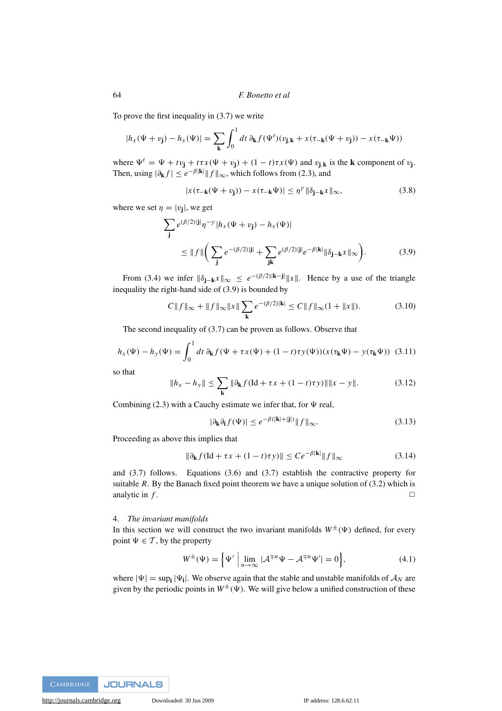To prove the first inequality in (3.7) we write

$$
|h_x(\Psi + v_{\mathbf{j}}) - h_x(\Psi)| = \sum_{\mathbf{k}} \int_0^1 dt \, \partial_{\mathbf{k}} f(\Psi^t)(v_{\mathbf{j},\mathbf{k}} + x(\tau_{-\mathbf{k}}(\Psi + v_{\mathbf{j}})) - x(\tau_{-\mathbf{k}}\Psi))
$$

where  $\Psi^t = \Psi + tv_j + t\tau x(\Psi + v_j) + (1 - t)\tau x(\Psi)$  and  $v_{j,k}$  is the **k** component of  $v_j$ . Then, using  $|\partial_k f| \leq e^{-\beta |\mathbf{k}|} ||f||_{\infty}$ , which follows from (2.3), and

$$
|x(\tau_{-\mathbf{k}}(\Psi + v_{\mathbf{j}})) - x(\tau_{-\mathbf{k}}\Psi)| \le \eta^{\gamma} \|\delta_{\mathbf{j}-\mathbf{k}}x\|_{\infty},\tag{3.8}
$$

where we set  $\eta = |v_j|$ , we get

$$
\sum_{\mathbf{j}} e^{(\beta/2)|\mathbf{j}|} \eta^{-\gamma} |h_x(\Psi + v_{\mathbf{j}}) - h_x(\Psi)|
$$
  
\n
$$
\leq ||f|| \left( \sum_{\mathbf{j}} e^{-(\beta/2)|\mathbf{j}|} + \sum_{\mathbf{j}\mathbf{k}} e^{(\beta/2)|\mathbf{j}|} e^{-\beta|\mathbf{k}|} ||\delta_{\mathbf{j}-\mathbf{k}}x||_{\infty} \right).
$$
 (3.9)

From (3.4) we infer  $\|\delta_{\mathbf{j}-\mathbf{k}}x\|_{\infty} \leq e^{-(\beta/2)|\mathbf{k}-\mathbf{j}|}\|x\|$ . Hence by a use of the triangle inequality the right-hand side of (3.9) is bounded by

$$
C||f||_{\infty} + ||f||_{\infty} ||x|| \sum_{\mathbf{k}} e^{-(\beta/2)|\mathbf{k}|} \le C||f||_{\infty} (1 + ||x||). \tag{3.10}
$$

The second inequality of (3.7) can be proven as follows. Observe that

$$
h_x(\Psi) - h_y(\Psi) = \int_0^1 dt \, \partial_{\mathbf{k}} f(\Psi + \tau x(\Psi) + (1 - t)\tau y(\Psi)) (x(\tau_{\mathbf{k}}\Psi) - y(\tau_{\mathbf{k}}\Psi)) \tag{3.11}
$$

so that

$$
||h_x - h_y|| \le \sum_{\mathbf{k}} ||\partial_{\mathbf{k}} f(\mathrm{Id} + \tau x + (1 - t)\tau y)|| ||x - y||. \tag{3.12}
$$

Combining (2.3) with a Cauchy estimate we infer that, for  $\Psi$  real,

$$
|\partial_{\mathbf{k}}\partial_{\mathbf{i}}f(\Psi)| \le e^{-\beta(|\mathbf{k}| + |\mathbf{j}|)} \|f\|_{\infty}.
$$
 (3.13)

Proceeding as above this implies that

$$
\|\partial_{\mathbf{k}} f(\mathrm{Id} + \tau x + (1 - t)\tau y)\| \le C e^{-\beta |\mathbf{k}|} \|f\|_{\infty} \tag{3.14}
$$

and (3.7) follows. Equations (3.6) and (3.7) establish the contractive property for suitable  $R$ . By the Banach fixed point theorem we have a unique solution of  $(3.2)$  which is analytic in  $f$ .  $\Box$ 

#### 4. *The invariant manifolds*

In this section we will construct the two invariant manifolds  $W^{\pm}(\Psi)$  defined, for every point  $\Psi \in \mathcal{T}$ , by the property

$$
W^{\pm}(\Psi) = \left\{ \Psi' \mid \lim_{n \to \infty} |\mathcal{A}^{\mp n} \Psi - \mathcal{A}^{\mp n} \Psi'| = 0 \right\},\tag{4.1}
$$

where  $|\Psi| = \sup_i |\Psi_i|$ . We observe again that the stable and unstable manifolds of  $A_N$  are given by the periodic points in  $W^{\pm}(\Psi)$ . We will give below a unified construction of these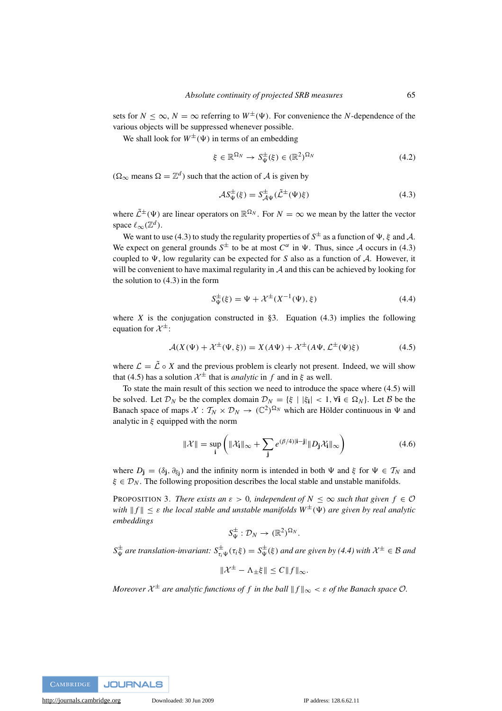sets for  $N < \infty$ ,  $N = \infty$  referring to  $W^{\pm}(\Psi)$ . For convenience the *N*-dependence of the various objects will be suppressed whenever possible.

We shall look for  $W^{\pm}(\Psi)$  in terms of an embedding

$$
\xi \in \mathbb{R}^{\Omega_N} \to S^{\pm}_{\Psi}(\xi) \in (\mathbb{R}^2)^{\Omega_N} \tag{4.2}
$$

( $\Omega_{\infty}$  means  $\Omega = \mathbb{Z}^d$ ) such that the action of A is given by

$$
\mathcal{A}S_{\Psi}^{\pm}(\xi) = S_{\mathcal{A}\Psi}^{\pm}(\tilde{\mathcal{L}}^{\pm}(\Psi)\xi)
$$
\n(4.3)

where  $\tilde{\mathcal{L}}^{\pm}(\Psi)$  are linear operators on  $\mathbb{R}^{\Omega_N}$ . For  $N = \infty$  we mean by the latter the vector space  $\ell_{\infty}(\mathbb{Z}^d)$ .

We want to use (4.3) to study the regularity properties of  $S^{\pm}$  as a function of  $\Psi$ ,  $\xi$  and  $\mathcal{A}$ . We expect on general grounds  $S^{\pm}$  to be at most  $C^{\alpha}$  in  $\Psi$ . Thus, since A occurs in (4.3) coupled to  $\Psi$ , low regularity can be expected for *S* also as a function of *A*. However, it will be convenient to have maximal regularity in *A* and this can be achieved by looking for the solution to (4.3) in the form

$$
S_{\Psi}^{\pm}(\xi) = \Psi + \mathcal{X}^{\pm}(X^{-1}(\Psi), \xi)
$$
\n(4.4)

where *X* is the conjugation constructed in §3. Equation (4.3) implies the following equation for  $\mathcal{X}^{\pm}$ :

$$
\mathcal{A}(X(\Psi) + \mathcal{X}^{\pm}(\Psi, \xi)) = X(A\Psi) + \mathcal{X}^{\pm}(A\Psi, \mathcal{L}^{\pm}(\Psi)\xi)
$$
(4.5)

where  $\mathcal{L} = \tilde{\mathcal{L}} \circ X$  and the previous problem is clearly not present. Indeed, we will show that (4.5) has a solution  $\mathcal{X}^{\pm}$  that is *analytic* in *f* and in  $\xi$  as well.

To state the main result of this section we need to introduce the space where (4.5) will be solved. Let  $\mathcal{D}_N$  be the complex domain  $\mathcal{D}_N = {\xi | {\xi_1} | < 1, \forall i \in \Omega_N}$ . Let *B* be the Banach space of maps  $X: T_N \times \mathcal{D}_N \to (\mathbb{C}^2)^{\Omega_N}$  which are Hölder continuous in  $\Psi$  and analytic in *ξ* equipped with the norm

$$
\|\mathcal{X}\| = \sup_{\mathbf{i}} \left( \|\mathcal{X}_{\mathbf{i}}\|_{\infty} + \sum_{\mathbf{j}} e^{(\beta/4)|\mathbf{i} - \mathbf{j}|} \|D_{\mathbf{j}} \mathcal{X}_{\mathbf{i}}\|_{\infty} \right)
$$
(4.6)

where  $D_i = (\delta_i, \partial_{\xi_i})$  and the infinity norm is intended in both  $\Psi$  and  $\xi$  for  $\Psi \in \mathcal{T}_N$  and *ξ* ∈ *D<sub>N</sub>*. The following proposition describes the local stable and unstable manifolds.

**PROPOSITION 3.** *There exists an*  $\varepsilon > 0$ *, independent of*  $N \leq \infty$  *such that given*  $f \in \mathcal{O}$ *with*  $|| f || \leq \varepsilon$  *the local stable and unstable manifolds*  $W^{\pm}(\Psi)$  *are given by real analytic embeddings*

$$
S_{\Psi}^{\pm}:\mathcal{D}_N\to(\mathbb{R}^2)^{\Omega_N}.
$$

 $S_{\Psi}^{\pm}$  are translation-invariant:  $S_{\tau_i\Psi}^{\pm}(\tau_i\xi) = S_{\Psi}^{\pm}(\xi)$  and are given by (4.4) with  $\mathcal{X}^{\pm} \in \mathcal{B}$  and

$$
\|\mathcal{X}^{\pm}-\Lambda_{\pm}\xi\|\leq C\|f\|_{\infty}.
$$

*Moreover*  $\mathcal{X}^{\pm}$  *are analytic functions of f in the ball*  $||f||_{\infty} < \varepsilon$  *of the Banach space*  $\mathcal{O}$ *.* 

**JOURNA CAMBRIDGE**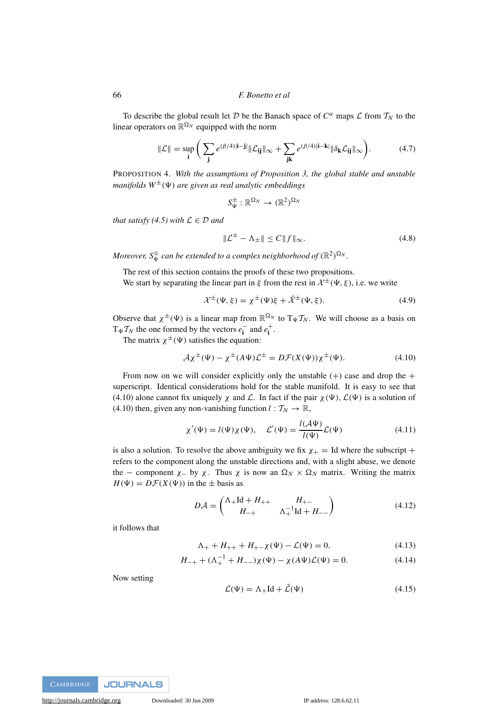To describe the global result let *D* be the Banach space of  $C^{\alpha}$  maps  $\mathcal{L}$  from  $\mathcal{T}_N$  to the linear operators on  $\mathbb{R}^{\Omega_N}$  equipped with the norm

$$
\|\mathcal{L}\| = \sup_{\mathbf{i}} \bigg( \sum_{\mathbf{j}} e^{(\beta/4)|\mathbf{i} - \mathbf{j}|} \|\mathcal{L}_{\mathbf{i}\mathbf{j}}\|_{\infty} + \sum_{\mathbf{j}\mathbf{k}} e^{(\beta/4)|\mathbf{i} - \mathbf{k}|} \|\delta_{\mathbf{k}} \mathcal{L}_{\mathbf{i}\mathbf{j}}\|_{\infty} \bigg). \tag{4.7}
$$

PROPOSITION 4. *With the assumptions of Proposition 3, the global stable and unstable manifolds*  $W^{\pm}(\Psi)$  *are given as real analytic embeddings* 

$$
S^{\pm}_{\Psi}: \mathbb{R}^{\Omega_N} \to (\mathbb{R}^2)^{\Omega_N}
$$

*that satisfy* (4.5) with  $\mathcal{L} \in \mathcal{D}$  *and* 

$$
\|\mathcal{L}^{\pm} - \Lambda_{\pm}\| \le C \|f\|_{\infty}.
$$
\n(4.8)

Moreover,  $S_{\Psi}^{\pm}$  can be extended to a complex neighborhood of  $(\mathbb{R}^2)^{\Omega_N}.$ 

The rest of this section contains the proofs of these two propositions.

We start by separating the linear part in  $\xi$  from the rest in  $\mathcal{X}^{\pm}(\Psi, \xi)$ , i.e. we write

$$
\mathcal{X}^{\pm}(\Psi,\xi) = \chi^{\pm}(\Psi)\xi + \bar{\mathcal{X}}^{\pm}(\Psi,\xi). \tag{4.9}
$$

Observe that  $\chi^{\pm}(\Psi)$  is a linear map from  $\mathbb{R}^{\Omega_N}$  to  $T_{\Psi} \mathcal{T}_N$ . We will choose as a basis on  $T_{\Psi}T_N$  the one formed by the vectors  $e_i^-$  and  $e_i^+$ .

The matrix  $\chi^{\pm}(\Psi)$  satisfies the equation:

$$
\mathcal{A}\chi^{\pm}(\Psi) - \chi^{\pm}(A\Psi)\mathcal{L}^{\pm} = D\mathcal{F}(X(\Psi))\chi^{\pm}(\Psi). \tag{4.10}
$$

From now on we will consider explicitly only the unstable  $(+)$  case and drop the  $+$ superscript. Identical considerations hold for the stable manifold. It is easy to see that (4.10) alone cannot fix uniquely  $\chi$  and  $\mathcal{L}$ . In fact if the pair  $\chi(\Psi)$ ,  $\mathcal{L}(\Psi)$  is a solution of (4.10) then, given any non-vanishing function  $l : T_N \to \mathbb{R}$ ,

$$
\chi'(\Psi) = l(\Psi)\chi(\Psi), \quad \mathcal{L}'(\Psi) = \frac{l(\mathcal{A}\Psi)}{l(\Psi)}\mathcal{L}(\Psi)
$$
\n(4.11)

is also a solution. To resolve the above ambiguity we fix  $\chi_{+} =$  Id where the subscript + refers to the component along the unstable directions and, with a slight abuse, we denote the – component  $\chi$ − by  $\chi$ . Thus  $\chi$  is now an  $\Omega$ <sub>N</sub>  $\times$   $\Omega$ <sub>N</sub> matrix. Writing the matrix  $H(\Psi) = D\mathcal{F}(X(\Psi))$  in the  $\pm$  basis as

$$
D\mathcal{A} = \begin{pmatrix} \Lambda_{+} \mathrm{Id} + H_{++} & H_{+-} \\ H_{-+} & \Lambda_{+}^{-1} \mathrm{Id} + H_{--} \end{pmatrix}
$$
(4.12)

it follows that

$$
\Lambda_{+} + H_{++} + H_{+-} \chi(\Psi) - \mathcal{L}(\Psi) = 0, \tag{4.13}
$$

$$
H_{-+} + (\Lambda_{+}^{-1} + H_{--})\chi(\Psi) - \chi(A\Psi)\mathcal{L}(\Psi) = 0.
$$
 (4.14)

Now setting

$$
\mathcal{L}(\Psi) = \Lambda_{+} \text{Id} + \bar{\mathcal{L}}(\Psi) \tag{4.15}
$$

**CAMBRIDGE JOURN**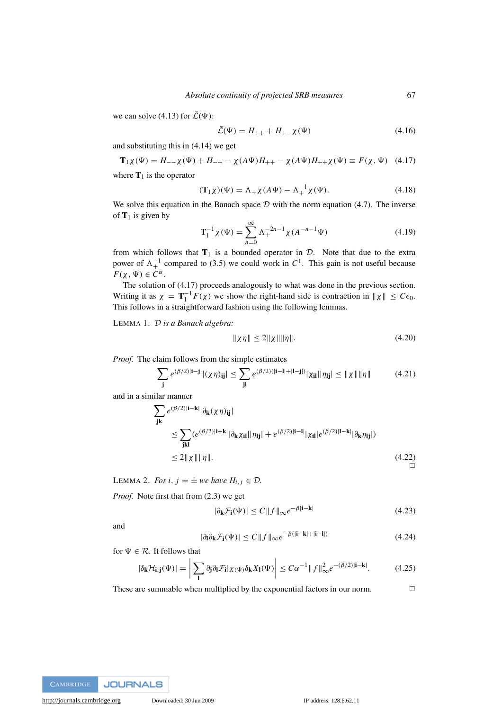we can solve (4.13) for  $\bar{\mathcal{L}}(\Psi)$ :

$$
\bar{\mathcal{L}}(\Psi) = H_{++} + H_{+-} \chi(\Psi) \tag{4.16}
$$

and substituting this in (4.14) we get

$$
\mathbf{T}_{1}\chi(\Psi) = H_{--}\chi(\Psi) + H_{-+} - \chi(A\Psi)H_{++} - \chi(A\Psi)H_{++}\chi(\Psi) \equiv F(\chi, \Psi) \quad (4.17)
$$
  
where  $\mathbf{T}_1$  is the operator

$$
(\mathbf{T}_1 \chi)(\Psi) = \Lambda_{+} \chi(A\Psi) - \Lambda_{+}^{-1} \chi(\Psi). \tag{4.18}
$$

We solve this equation in the Banach space  $D$  with the norm equation (4.7). The inverse of  $T_1$  is given by

$$
T_1^{-1} \chi(\Psi) = \sum_{n=0}^{\infty} \Lambda_+^{-2n-1} \chi(A^{-n-1}\Psi)
$$
 (4.19)

from which follows that  $T_1$  is a bounded operator in  $D$ . Note that due to the extra power of  $\Lambda_{+}^{-1}$  compared to (3.5) we could work in  $C^{1}$ . This gain is not useful because  $F(\chi, \Psi) \in C^{\alpha}$ .

The solution of (4.17) proceeds analogously to what was done in the previous section. Writing it as  $\chi = T_1^{-1} F(\chi)$  we show the right-hand side is contraction in  $\|\chi\| \leq C\epsilon_0$ . This follows in a straightforward fashion using the following lemmas.

LEMMA 1. *D is a Banach algebra:*

$$
\|\chi\eta\| \le 2\|\chi\|\|\eta\|.\tag{4.20}
$$

*Proof.* The claim follows from the simple estimates

$$
\sum_{\mathbf{j}} e^{(\beta/2)|\mathbf{i}-\mathbf{j}|} |(\chi \eta)_{\mathbf{i}\mathbf{j}}| \le \sum_{\mathbf{j}\mathbf{l}} e^{(\beta/2)(|\mathbf{i}-\mathbf{l}|+|\mathbf{l}-\mathbf{j}|)} |\chi_{\mathbf{i}\mathbf{l}}| |\eta_{\mathbf{j}}| \le \|\chi\| \|\eta\| \tag{4.21}
$$

and in a similar manner

$$
\sum_{\mathbf{j}\mathbf{k}} e^{(\beta/2)|\mathbf{i}-\mathbf{k}|} |\partial_{\mathbf{k}}(\chi\eta)_{\mathbf{i}\mathbf{j}}|
$$
\n
$$
\leq \sum_{\mathbf{j}\mathbf{k}\mathbf{l}} (e^{(\beta/2)|\mathbf{i}-\mathbf{k}|} |\partial_{\mathbf{k}} \chi_{\mathbf{i}\mathbf{l}}| |\eta_{\mathbf{i}\mathbf{j}}| + e^{(\beta/2)|\mathbf{i}-\mathbf{l}|} |\chi_{\mathbf{i}\mathbf{l}}| e^{(\beta/2)|\mathbf{l}-\mathbf{k}|} |\partial_{\mathbf{k}} \eta_{\mathbf{i}\mathbf{j}}|)
$$
\n
$$
\leq 2 \|\chi\| \|\eta\|. \tag{4.22}
$$

LEMMA 2. *For i*,  $j = \pm$  *we have*  $H_{i,j} \in \mathcal{D}$ .

*Proof.* Note first that from (2.3) we get

$$
|\partial_{\mathbf{k}}\mathcal{F}_{\mathbf{i}}(\Psi)| \le C \|f\|_{\infty} e^{-\beta |\mathbf{i} - \mathbf{k}|} \tag{4.23}
$$

and

$$
|\partial_{\mathbf{l}} \partial_{\mathbf{k}} \mathcal{F}_{\mathbf{i}}(\Psi)| \le C \|f\|_{\infty} e^{-\beta(|\mathbf{i} - \mathbf{k}| + |\mathbf{i} - \mathbf{l}|)} \tag{4.24}
$$

for  $\Psi \in \mathcal{R}$ . It follows that

$$
|\delta_{\mathbf{k}}\mathcal{H}_{\mathbf{i},\mathbf{j}}(\Psi)| = \left| \sum_{\mathbf{l}} \partial_{\mathbf{j}} \partial_{\mathbf{l}} \mathcal{F}_{\mathbf{i}}|_{X(\Psi)} \delta_{\mathbf{k}} X_{\mathbf{l}}(\Psi) \right| \leq C\alpha^{-1} \|f\|_{\infty}^2 e^{-(\beta/2)|\mathbf{i} - \mathbf{k}|}.
$$
 (4.25)

These are summable when multiplied by the exponential factors in our norm.  $\Box$ 

**JOURNAI CAMBRIDGE**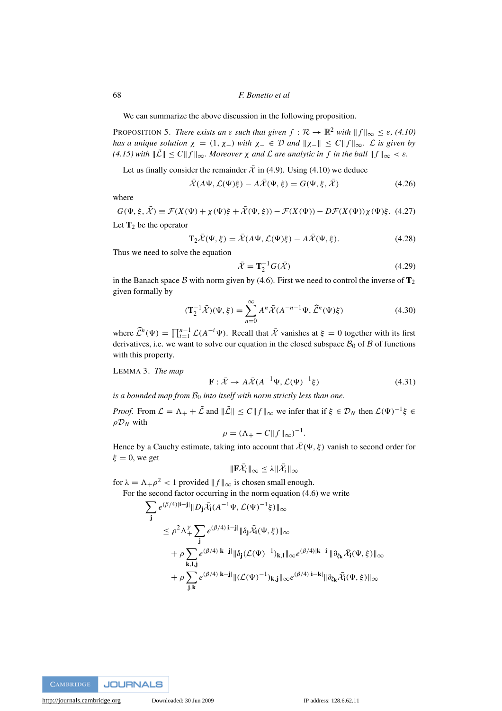We can summarize the above discussion in the following proposition.

**PROPOSITION 5.** *There exists an*  $\varepsilon$  *such that given*  $f : \mathcal{R} \to \mathbb{R}^2$  *with*  $||f||_{\infty} \leq \varepsilon$ , (4.10) *has a unique solution*  $\chi = (1, \chi)$  *with*  $\chi$ <sup>−</sup> ∈ *D and*  $\|\chi$ <sup>−</sup>  $\|\leq C \|f\|_{\infty}$ . *L is given by*  $(4.15)$  with  $\|\bar{\mathcal{L}}\| \leq C \|f\|_{\infty}$ . Moreover  $\chi$  and  $\mathcal{L}$  are analytic in  $f$  in the ball  $\|f\|_{\infty} < \varepsilon$ .

Let us finally consider the remainder  $\bar{\mathcal{X}}$  in (4.9). Using (4.10) we deduce

$$
\bar{\mathcal{X}}(A\Psi, \mathcal{L}(\Psi)\xi) - A\bar{\mathcal{X}}(\Psi, \xi) = G(\Psi, \xi, \bar{\mathcal{X}})
$$
\n(4.26)

where

$$
G(\Psi, \xi, \bar{\mathcal{X}}) \equiv \mathcal{F}(X(\Psi) + \chi(\Psi)\xi + \bar{\mathcal{X}}(\Psi, \xi)) - \mathcal{F}(X(\Psi)) - D\mathcal{F}(X(\Psi))\chi(\Psi)\xi.
$$
 (4.27)  
Let  $\mathbf{T}_2$  be the operator

$$
\mathbf{T}_2 \bar{\mathcal{X}}(\Psi, \xi) = \bar{\mathcal{X}}(A\Psi, \mathcal{L}(\Psi)\xi) - A\bar{\mathcal{X}}(\Psi, \xi). \tag{4.28}
$$

Thus we need to solve the equation

$$
\bar{\mathcal{X}} = \mathbf{T}_2^{-1} G(\bar{\mathcal{X}}) \tag{4.29}
$$

in the Banach space  $\beta$  with norm given by (4.6). First we need to control the inverse of  $T_2$ given formally by

$$
(\mathbf{T}_2^{-1}\bar{\mathcal{X}})(\Psi,\xi) = \sum_{n=0}^{\infty} A^n \bar{\mathcal{X}}(A^{-n-1}\Psi, \widehat{\mathcal{L}}^n(\Psi)\xi)
$$
(4.30)

where  $\hat{\mathcal{L}}^{n}(\Psi) = \prod_{i=1}^{n-1} \mathcal{L}(A^{-i}\Psi)$ . Recall that  $\bar{\mathcal{X}}$  vanishes at  $\xi = 0$  together with its first derivatives, i.e. we want to solve our equation in the closed subspace  $B_0$  of  $B$  of functions with this property.

LEMMA 3. *The map*

$$
\mathbf{F}: \bar{\mathcal{X}} \to A\bar{\mathcal{X}}(A^{-1}\Psi, \mathcal{L}(\Psi)^{-1}\xi)
$$
 (4.31)

*is a bounded map from*  $B_0$  *into itself with norm strictly less than one.* 

*Proof.* From  $\mathcal{L} = \Lambda_+ + \bar{\mathcal{L}}$  and  $\|\bar{\mathcal{L}}\| \le C \|f\|_{\infty}$  we infer that if  $\xi \in \mathcal{D}_N$  then  $\mathcal{L}(\Psi)^{-1}\xi \in$  $\rho \mathcal{D}_N$  with

$$
\rho = (\Lambda_+ - C \|f\|_{\infty})^{-1}.
$$

Hence by a Cauchy estimate, taking into account that  $\bar{\mathcal{X}}(\Psi, \xi)$  vanish to second order for *ξ* = 0, we get

$$
\|\mathbf{F}\bar{\mathcal{X}}_i\|_{\infty}\leq \lambda \|\bar{\mathcal{X}}_i\|_{\infty}
$$

for  $\lambda = \Lambda_+ \rho^2 < 1$  provided  $||f||_{\infty}$  is chosen small enough.

For the second factor occurring in the norm equation (4.6) we write

$$
\sum_{\mathbf{j}} e^{(\beta/4)|\mathbf{i}-\mathbf{j}|} \|D_{\mathbf{j}} \bar{\mathcal{X}}_{\mathbf{i}} (A^{-1} \Psi, \mathcal{L}(\Psi)^{-1} \xi) \|_{\infty} \n\leq \rho^2 \Lambda_+^{\gamma} \sum_{\mathbf{j}} e^{(\beta/4)|\mathbf{i}-\mathbf{j}|} \|\delta_{\mathbf{j}} \bar{\mathcal{X}}_{\mathbf{i}} (\Psi, \xi) \|_{\infty} \n+ \rho \sum_{\mathbf{k}, \mathbf{l}, \mathbf{j}} e^{(\beta/4)|\mathbf{k}-\mathbf{j}|} \|\delta_{\mathbf{j}} (\mathcal{L}(\Psi)^{-1})_{\mathbf{k}, \mathbf{l}} \|_{\infty} e^{(\beta/4)|\mathbf{k}-\mathbf{i}|} \|\partial_{\xi_{\mathbf{k}}} \bar{\mathcal{X}}_{\mathbf{i}} (\Psi, \xi) \|_{\infty} \n+ \rho \sum_{\mathbf{j}, \mathbf{k}} e^{(\beta/4)|\mathbf{k}-\mathbf{j}|} \| (\mathcal{L}(\Psi)^{-1})_{\mathbf{k}, \mathbf{j}} \|_{\infty} e^{(\beta/4)|\mathbf{i}-\mathbf{k}|} \|\partial_{\xi_{\mathbf{k}}} \bar{\mathcal{X}}_{\mathbf{i}} (\Psi, \xi) \|_{\infty}
$$

**JOURNAI CAMBRIDGE**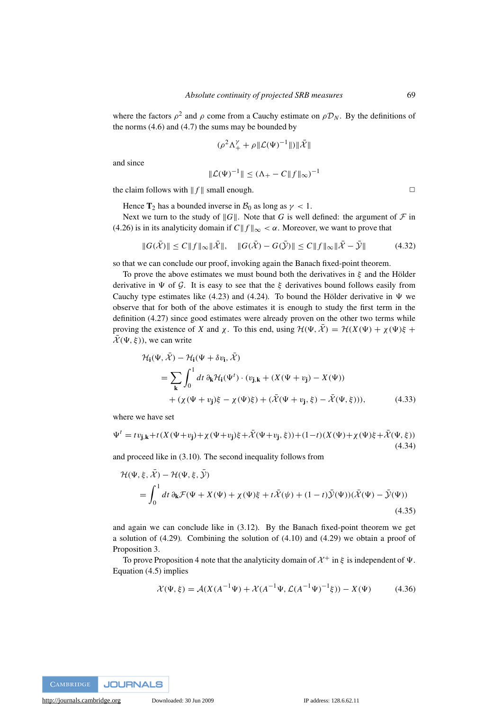where the factors  $\rho^2$  and  $\rho$  come from a Cauchy estimate on  $\rho \mathcal{D}_N$ . By the definitions of the norms  $(4.6)$  and  $(4.7)$  the sums may be bounded by

$$
(\rho^2\Lambda_+^\gamma+\rho\|\mathcal{L}(\Psi)^{-1}\|)\|\bar{\mathcal{X}}\|
$$

and since

$$
\|\mathcal{L}(\Psi)^{-1}\| \le (\Lambda_+ - C \|f\|_{\infty})^{-1}
$$

the claim follows with  $|| f ||$  small enough.  $\Box$ 

Hence **T**<sub>2</sub> has a bounded inverse in  $B_0$  as long as  $\gamma$  < 1.

Next we turn to the study of  $||G||$ . Note that *G* is well defined: the argument of  $F$  in (4.26) is in its analyticity domain if  $C||f||_{\infty} < \alpha$ . Moreover, we want to prove that

$$
||G(\bar{\mathcal{X}})|| \le C||f||_{\infty}||\bar{\mathcal{X}}||, \quad ||G(\bar{\mathcal{X}}) - G(\bar{\mathcal{Y}})|| \le C||f||_{\infty}||\bar{\mathcal{X}} - \bar{\mathcal{Y}}|| \tag{4.32}
$$

so that we can conclude our proof, invoking again the Banach fixed-point theorem.

To prove the above estimates we must bound both the derivatives in  $\xi$  and the Hölder derivative in  $\Psi$  of  $\mathcal G$ . It is easy to see that the  $\xi$  derivatives bound follows easily from Cauchy type estimates like (4.23) and (4.24). To bound the Hölder derivative in  $\Psi$  we observe that for both of the above estimates it is enough to study the first term in the definition (4.27) since good estimates were already proven on the other two terms while proving the existence of *X* and *χ*. To this end, using  $\mathcal{H}(\Psi, \overline{\mathcal{X}}) = \mathcal{H}(X(\Psi) + \chi(\Psi)\xi +$  $\bar{\mathcal{X}}(\Psi, \xi)$ , we can write

$$
\mathcal{H}_{\mathbf{i}}(\Psi, \bar{\mathcal{X}}) - \mathcal{H}_{\mathbf{i}}(\Psi + \delta v_{\mathbf{i}}, \bar{\mathcal{X}})
$$
\n
$$
= \sum_{\mathbf{k}} \int_0^1 dt \, \partial_{\mathbf{k}} \mathcal{H}_{\mathbf{i}}(\Psi^t) \cdot (v_{\mathbf{j}, \mathbf{k}} + (X(\Psi + v_{\mathbf{j}}) - X(\Psi))
$$
\n
$$
+ (\chi(\Psi + v_{\mathbf{j}})\xi - \chi(\Psi)\xi) + (\bar{\mathcal{X}}(\Psi + v_{\mathbf{j}}, \xi) - \bar{\mathcal{X}}(\Psi, \xi))), \tag{4.33}
$$

where we have set

$$
\Psi^t = t v_{\mathbf{j},\mathbf{k}} + t \left( X(\Psi + v_{\mathbf{j}}) + \chi(\Psi + v_{\mathbf{j}}) \xi + \bar{\mathcal{X}}(\Psi + v_{\mathbf{j}}, \xi) \right) + (1 - t) \left( X(\Psi) + \chi(\Psi) \xi + \bar{\mathcal{X}}(\Psi, \xi) \right)
$$
\n
$$
\tag{4.34}
$$

and proceed like in (3.10). The second inequality follows from

$$
\mathcal{H}(\Psi, \xi, \bar{\mathcal{X}}) - \mathcal{H}(\Psi, \xi, \bar{\mathcal{Y}})
$$
\n
$$
= \int_0^1 dt \, \partial_{\mathbf{k}} \mathcal{F}(\Psi + X(\Psi) + \chi(\Psi)\xi + t\bar{\mathcal{X}}(\psi) + (1-t)\bar{\mathcal{Y}}(\Psi)) (\bar{\mathcal{X}}(\Psi) - \bar{\mathcal{Y}}(\Psi))
$$
\n(4.35)

and again we can conclude like in (3.12). By the Banach fixed-point theorem we get a solution of (4.29). Combining the solution of (4.10) and (4.29) we obtain a proof of Proposition 3.

To prove Proposition 4 note that the analyticity domain of  $\mathcal{X}^+$  in  $\xi$  is independent of  $\Psi$ . Equation (4.5) implies

$$
\mathcal{X}(\Psi,\xi) = \mathcal{A}(X(A^{-1}\Psi) + \mathcal{X}(A^{-1}\Psi, \mathcal{L}(A^{-1}\Psi)^{-1}\xi)) - X(\Psi)
$$
(4.36)

**CAMBRIDGE JOURNAI**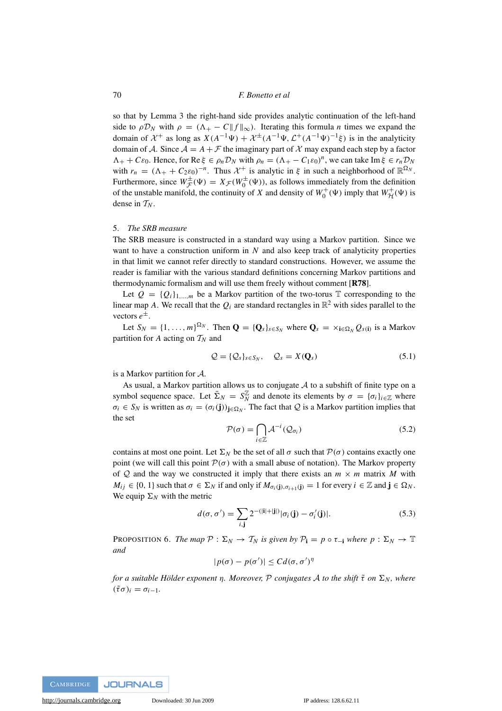so that by Lemma 3 the right-hand side provides analytic continuation of the left-hand side to  $\rho \mathcal{D}_N$  with  $\rho = (\Lambda_+ - C \|f\|_{\infty})$ . Iterating this formula *n* times we expand the domain of  $\mathcal{X}^+$  as long as  $X(A^{-1}\Psi) + \mathcal{X}^{\pm}(A^{-1}\Psi, \mathcal{L}^+(A^{-1}\Psi)^{-1}\xi)$  is in the analyticity domain of *A*. Since  $A = A + F$  the imaginary part of *X* may expand each step by a factor  $\Lambda_+ + C\varepsilon_0$ . Hence, for Re  $\xi \in \rho_n \mathcal{D}_N$  with  $\rho_n = (\Lambda_+ - C_1 \varepsilon_0)^n$ , we can take Im  $\xi \in r_n \mathcal{D}_N$ with  $r_n = (\Lambda_+ + C_2 \varepsilon_0)^{-n}$ . Thus  $\mathcal{X}^+$  is analytic in  $\xi$  in such a neighborhood of  $\mathbb{R}^{\Omega_N}$ . Furthermore, since  $W_{\mathcal{F}}^{\pm}(\Psi) = X_{\mathcal{F}}(W_0^{\pm}(\Psi))$ , as follows immediately from the definition of the unstable manifold, the continuity of *X* and density of  $W_0^+(\Psi)$  imply that  $W_H^+(\Psi)$  is dense in  $T_N$ .

#### 5. *The SRB measure*

The SRB measure is constructed in a standard way using a Markov partition. Since we want to have a construction uniform in *N* and also keep track of analyticity properties in that limit we cannot refer directly to standard constructions. However, we assume the reader is familiar with the various standard definitions concerning Markov partitions and thermodynamic formalism and will use them freely without comment [**R78**].

Let  $Q = \{Q_i\}_{1,\dots,m}$  be a Markov partition of the two-torus  $\mathbb T$  corresponding to the linear map *A*. We recall that the  $Q_i$  are standard rectangles in  $\mathbb{R}^2$  with sides parallel to the vectors *e*±.

Let  $S_N = \{1, \ldots, m\}^{\Omega_N}$ . Then  $\mathbf{Q} = \{\mathbf{Q}_s\}_{s \in S_N}$  where  $\mathbf{Q}_s = \times_{\mathbf{i} \in \Omega_N} Q_{s(\mathbf{i})}$  is a Markov partition for *A* acting on  $T_N$  and

$$
\mathcal{Q} = \{\mathcal{Q}_s\}_{s \in S_N}, \quad \mathcal{Q}_s = X(\mathbf{Q}_s) \tag{5.1}
$$

is a Markov partition for *A*.

As usual, a Markov partition allows us to conjugate *A* to a subshift of finite type on a symbol sequence space. Let  $\bar{\Sigma}_N = S_N^{\mathbb{Z}}$  and denote its elements by  $\sigma = {\sigma_i}_{i \in \mathbb{Z}}$  where  $\sigma_i \in S_N$  is written as  $\sigma_i = (\sigma_i(\mathbf{j}))_{\mathbf{i} \in \Omega_N}$ . The fact that *Q* is a Markov partition implies that the set

$$
\mathcal{P}(\sigma) = \bigcap_{i \in \mathbb{Z}} \mathcal{A}^{-i}(\mathcal{Q}_{\sigma_i})
$$
\n(5.2)

contains at most one point. Let  $\Sigma_N$  be the set of all  $\sigma$  such that  $\mathcal{P}(\sigma)$  contains exactly one point (we will call this point  $P(\sigma)$  with a small abuse of notation). The Markov property of  $Q$  and the way we constructed it imply that there exists an  $m \times m$  matrix M with  $M_{ij} \in \{0, 1\}$  such that  $\sigma \in \Sigma_N$  if and only if  $M_{\sigma_i(j), \sigma_{i+1}(j)} = 1$  for every  $i \in \mathbb{Z}$  and  $j \in \Omega_N$ . We equip  $\Sigma_N$  with the metric

$$
d(\sigma, \sigma') = \sum_{i, \mathbf{j}} 2^{-(|\mathbf{i}| + |\mathbf{j}|)} |\sigma_i(\mathbf{j}) - \sigma'_i(\mathbf{j})|.
$$
 (5.3)

*η*

PROPOSITION 6. *The map*  $P : \Sigma_N \to T_N$  *is given by*  $P_i = p \circ \tau_{-i}$  *where*  $p : \Sigma_N \to T$ *and*

$$
|p(\sigma) - p(\sigma')| \leq C d(\sigma, \sigma')
$$

*for a suitable Hölder exponent n. Moreover, P conjugates A to the shift*  $\tilde{\tau}$  *on*  $\Sigma_N$ *, where*  $({\tilde{\tau}\sigma})_i = \sigma_{i-1}.$ 

**CAMBRIDGE JOURNAL**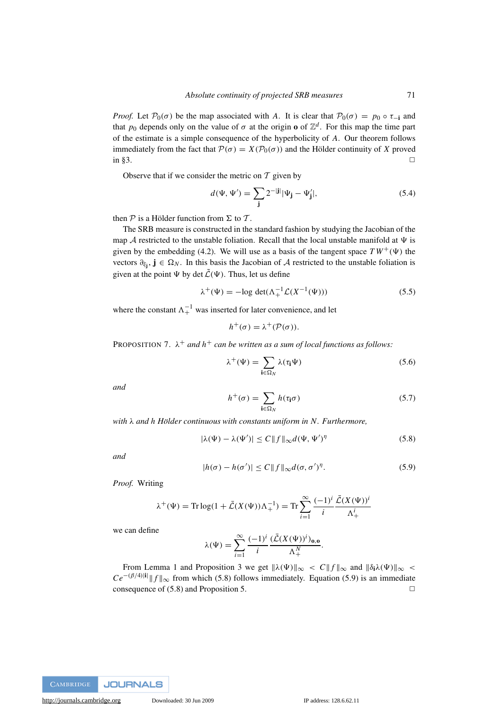*Proof.* Let  $\mathcal{P}_0(\sigma)$  be the map associated with *A*. It is clear that  $\mathcal{P}_0(\sigma) = p_0 \circ \tau_{-i}$  and that  $p_0$  depends only on the value of  $\sigma$  at the origin **o** of  $\mathbb{Z}^d$ . For this map the time part of the estimate is a simple consequence of the hyperbolicity of *A*. Our theorem follows immediately from the fact that *P*(*σ*) = *X*(*P*<sub>0</sub>(*σ*)) and the Hölder continuity of *X* proved in §3. □ in §3.  $\Box$ 

Observe that if we consider the metric on  $T$  given by

$$
d(\Psi, \Psi') = \sum_{\mathbf{j}} 2^{-|\mathbf{j}|} |\Psi_{\mathbf{j}} - \Psi'_{\mathbf{j}}|,\tag{5.4}
$$

then  $P$  is a Hölder function from  $\Sigma$  to  $T$ .

The SRB measure is constructed in the standard fashion by studying the Jacobian of the map  $A$  restricted to the unstable foliation. Recall that the local unstable manifold at  $\Psi$  is given by the embedding (4.2). We will use as a basis of the tangent space  $TW^+(\Psi)$  the vectors  $\partial_{\xi_i}$ ,  $\mathbf{j} \in \Omega_N$ . In this basis the Jacobian of *A* restricted to the unstable foliation is given at the point  $\Psi$  by det  $\tilde{\mathcal{L}}(\Psi)$ . Thus, let us define

$$
\lambda^{+}(\Psi) = -\log \det(\Lambda_{+}^{-1} \mathcal{L}(X^{-1}(\Psi)))
$$
\n(5.5)

where the constant  $\Lambda_+^{-1}$  was inserted for later convenience, and let

$$
h^+(\sigma) = \lambda^+(\mathcal{P}(\sigma)).
$$

PROPOSITION 7.  $\lambda^+$  *and*  $h^+$  *can be written as a sum of local functions as follows:* 

$$
\lambda^+(\Psi) = \sum_{\mathbf{i} \in \Omega_N} \lambda(\tau_\mathbf{i} \Psi) \tag{5.6}
$$

*and*

$$
h^{+}(\sigma) = \sum_{\mathbf{i} \in \Omega_N} h(\tau_{\mathbf{i}}\sigma) \tag{5.7}
$$

*with*  $λ$  *and*  $h$  *Hölder continuous with constants uniform in*  $N$ *. Furthermore,* 

$$
|\lambda(\Psi) - \lambda(\Psi')| \le C \|f\|_{\infty} d(\Psi, \Psi')^{\eta}
$$
\n(5.8)

*and*

$$
|h(\sigma) - h(\sigma')| \le C \|f\|_{\infty} d(\sigma, \sigma')^{\eta}.
$$
 (5.9)

*.*

*Proof.* Writing

$$
\lambda^{+}(\Psi) = \text{Tr} \log(1 + \bar{\mathcal{L}}(X(\Psi))\Lambda_{+}^{-1}) = \text{Tr} \sum_{i=1}^{\infty} \frac{(-1)^{i}}{i} \frac{\bar{\mathcal{L}}(X(\Psi))^{i}}{\Lambda_{+}^{i}}
$$

we can define

$$
\lambda(\Psi) = \sum_{i=1}^{\infty} \frac{(-1)^i}{i} \frac{(\overline{\mathcal{L}}(X(\Psi))^i)_{\mathbf{0},\mathbf{0}}}{\Lambda_+^N}
$$

From Lemma 1 and Proposition 3 we get  $\|\lambda(\Psi)\|_{\infty} < C \|f\|_{\infty}$  and  $\|\delta_i\lambda(\Psi)\|_{\infty} <$  $Ce^{-(\beta/4)|\mathbf{i}|} \|f\|_{\infty}$  from which (5.8) follows immediately. Equation (5.9) is an immediate consequence of  $(5.8)$  and Proposition 5.  $\Box$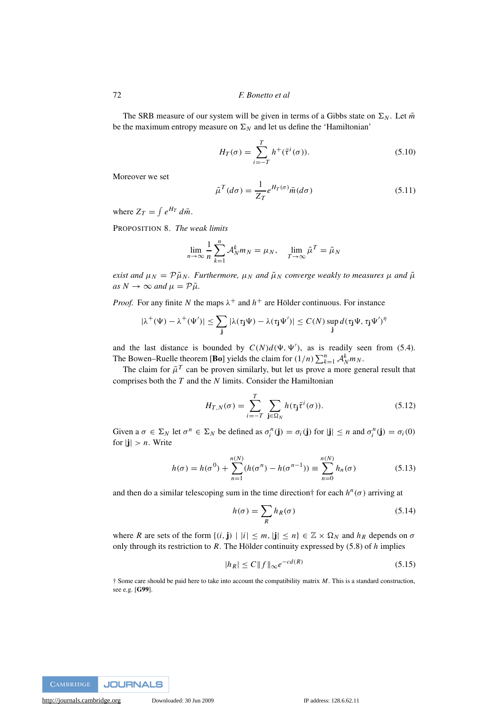The SRB measure of our system will be given in terms of a Gibbs state on  $\Sigma_N$ . Let  $\bar{m}$ be the maximum entropy measure on  $\Sigma_N$  and let us define the 'Hamiltonian'

$$
H_T(\sigma) = \sum_{i=-T}^{T} h^+(\tilde{\tau}^i(\sigma)).
$$
\n(5.10)

Moreover we set

$$
\tilde{\mu}^T(d\sigma) = \frac{1}{Z_T} e^{H_T(\sigma)} \bar{m}(d\sigma)
$$
\n(5.11)

where  $Z_T = \int e^{H_T} d\bar{m}$ .

PROPOSITION 8. *The weak limits*

$$
\lim_{n \to \infty} \frac{1}{n} \sum_{k=1}^{n} \mathcal{A}_N^k m_N = \mu_N, \quad \lim_{T \to \infty} \tilde{\mu}^T = \tilde{\mu}_N
$$

*exist and*  $\mu_N = \mathcal{P}\tilde{\mu}_N$ *. Furthermore,*  $\mu_N$  *and*  $\tilde{\mu}_N$  *converge weakly to measures*  $\mu$  *and*  $\tilde{\mu}$  $as N \rightarrow \infty$  *and*  $\mu = P\tilde{\mu}$ .

*Proof.* For any finite *N* the maps  $\lambda^+$  and  $h^+$  are Hölder continuous. For instance

$$
|\lambda^+(\Psi)-\lambda^+(\Psi')|\leq \sum_j |\lambda(\tau_j\Psi)-\lambda(\tau_j\Psi')|\leq C(N)\sup_j d(\tau_j\Psi,\tau_j\Psi')^\eta
$$

and the last distance is bounded by  $C(N)d(\Psi, \Psi')$ , as is readily seen from (5.4). The Bowen–Ruelle theorem [**Bo**] yields the claim for  $(1/n)\sum_{k=1}^{n} A_{N}^{k}m_{N}$ .

The claim for  $\tilde{\mu}^T$  can be proven similarly, but let us prove a more general result that comprises both the *T* and the *N* limits. Consider the Hamiltonian

$$
H_{T,N}(\sigma) = \sum_{i=-T}^{T} \sum_{\mathbf{j} \in \Omega_N} h(\tau_{\mathbf{j}} \tilde{\tau}^i(\sigma)).
$$
 (5.12)

Given a  $\sigma \in \Sigma_N$  let  $\sigma^n \in \Sigma_N$  be defined as  $\sigma_i^n(\mathbf{j}) = \sigma_i(\mathbf{j})$  for  $|\mathbf{j}| \leq n$  and  $\sigma_i^n(\mathbf{j}) = \sigma_i(0)$ for  $|\mathbf{j}| > n$ . Write

$$
h(\sigma) = h(\sigma^{0}) + \sum_{n=1}^{n(N)} (h(\sigma^{n}) - h(\sigma^{n-1})) \equiv \sum_{n=0}^{n(N)} h_{n}(\sigma)
$$
 (5.13)

and then do a similar telescoping sum in the time direction† for each  $h^n(\sigma)$  arriving at

$$
h(\sigma) = \sum_{R} h_R(\sigma) \tag{5.14}
$$

where *R* are sets of the form  $\{(i, \mathbf{j}) \mid |i| \leq m, |\mathbf{j}| \leq n\} \in \mathbb{Z} \times \Omega_N$  and  $h_R$  depends on  $\sigma$ only through its restriction to *R*. The Hölder continuity expressed by (5.8) of *h* implies

$$
|h_R| \le C \|f\|_{\infty} e^{-cd(R)} \tag{5.15}
$$

† Some care should be paid here to take into account the compatibility matrix *M*. This is a standard construction, see e.g. [**G99**].

**CAMBRIDGE** 

**JOURNAI**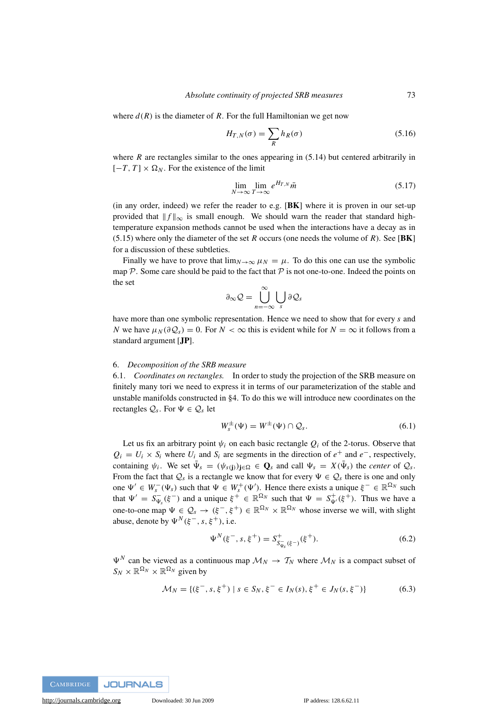where  $d(R)$  is the diameter of R. For the full Hamiltonian we get now

$$
H_{T,N}(\sigma) = \sum_{R} h_R(\sigma) \tag{5.16}
$$

where  $R$  are rectangles similar to the ones appearing in  $(5.14)$  but centered arbitrarily in  $[-T, T] \times \Omega_N$ . For the existence of the limit

$$
\lim_{N \to \infty} \lim_{T \to \infty} e^{H_{T,N}} \bar{m} \tag{5.17}
$$

(in any order, indeed) we refer the reader to e.g. [**BK**] where it is proven in our set-up provided that  $||f||_{\infty}$  is small enough. We should warn the reader that standard hightemperature expansion methods cannot be used when the interactions have a decay as in (5.15) where only the diameter of the set *R* occurs (one needs the volume of *R*). See [**BK**] for a discussion of these subtleties.

Finally we have to prove that  $\lim_{N\to\infty} \mu_N = \mu$ . To do this one can use the symbolic map *P*. Some care should be paid to the fact that *P* is not one-to-one. Indeed the points on the set

$$
\partial_{\infty}\mathcal{Q}=\bigcup_{n=-\infty}^{\infty}\bigcup_{s}\partial\mathcal{Q}_{s}
$$

have more than one symbolic representation. Hence we need to show that for every *s* and *N* we have  $\mu_N(\partial \mathcal{Q}_s) = 0$ . For  $N < \infty$  this is evident while for  $N = \infty$  it follows from a standard argument [**JP**].

#### 6. *Decomposition of the SRB measure*

6.1. *Coordinates on rectangles.* In order to study the projection of the SRB measure on finitely many tori we need to express it in terms of our parameterization of the stable and unstable manifolds constructed in §4. To do this we will introduce new coordinates on the rectangles  $Q_s$ . For  $\Psi \in Q_s$  let

$$
W_s^{\pm}(\Psi) = W^{\pm}(\Psi) \cap \mathcal{Q}_s. \tag{6.1}
$$

Let us fix an arbitrary point  $\psi_i$  on each basic rectangle  $Q_i$  of the 2-torus. Observe that  $Q_i = U_i \times S_i$  where  $U_i$  and  $S_i$  are segments in the direction of  $e^+$  and  $e^-$ , respectively, containing  $\psi_i$ . We set  $\bar{\Psi}_s = (\psi_{s(i)})_{i \in \Omega} \in \mathbf{Q}_s$  and call  $\Psi_s = X(\bar{\Psi}_s)$  the *center* of  $\mathcal{Q}_s$ . From the fact that  $Q_s$  is a rectangle we know that for every  $\Psi \in Q_s$  there is one and only one  $\Psi' \in W_s^-(\Psi_s)$  such that  $\Psi \in W_s^+(\Psi')$ . Hence there exists a unique  $\xi^- \in \mathbb{R}^{\Omega_N}$  such that  $\Psi' = S_{\Psi_s}^-(\xi^-)$  and a unique  $\xi^+ \in \mathbb{R}^{\Omega_N}$  such that  $\Psi = S_{\Psi'}^+(\xi^+)$ . Thus we have a one-to-one map  $\Psi \in \mathcal{Q}_s \to (\xi^-, \xi^+) \in \mathbb{R}^{\Omega_N} \times \mathbb{R}^{\Omega_N}$  whose inverse we will, with slight abuse, denote by  $\Psi^N(\xi^-, s, \xi^+)$ , i.e.

$$
\Psi^N(\xi^-, s, \xi^+) = S^+_{S^-_{\Psi_s}(\xi^-)}(\xi^+). \tag{6.2}
$$

 $\Psi^N$  can be viewed as a continuous map  $M_N \to T_N$  where  $M_N$  is a compact subset of  $S_N \times \mathbb{R}^{\Omega_N} \times \mathbb{R}^{\Omega_N}$  given by

$$
\mathcal{M}_N = \{ (\xi^-, s, \xi^+) \mid s \in S_N, \xi^- \in I_N(s), \xi^+ \in J_N(s, \xi^-) \}
$$
(6.3)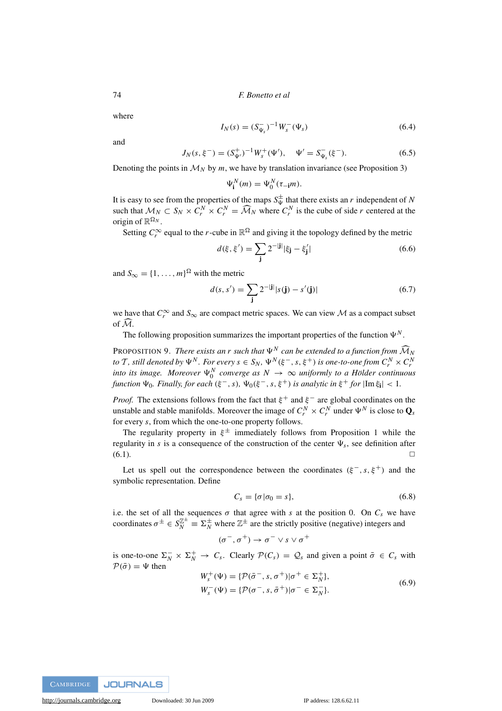where

$$
I_N(s) = (S_{\Psi_s}^-)^{-1} W_s^-(\Psi_s)
$$
\n(6.4)

and

$$
J_N(s, \xi^-) = (S_{\Psi'}^+)^{-1} W_s^+ (\Psi'), \quad \Psi' = S_{\Psi_s}^- (\xi^-). \tag{6.5}
$$

Denoting the points in  $M_N$  by  $m$ , we have by translation invariance (see Proposition 3)

$$
\Psi_{\mathbf{i}}^N(m) = \Psi_0^N(\tau_{-\mathbf{i}}m).
$$

It is easy to see from the properties of the maps  $S_{\Psi}^{\pm}$  that there exists an *r* independent of *N* such that  $M_N \subset S_N \times C_r^N \times C_r^N = \widehat{M}_N$  where  $C_r^N$  is the cube of side *r* centered at the origin of  $\mathbb{R}^{\Omega_N}$ .

Setting  $C_r^{\infty}$  equal to the *r*-cube in  $\mathbb{R}^{\Omega}$  and giving it the topology defined by the metric

$$
d(\xi, \xi') = \sum_{\mathbf{j}} 2^{-|\mathbf{j}|} |\xi_{\mathbf{j}} - \xi'_{\mathbf{j}}| \tag{6.6}
$$

and  $S_{\infty} = \{1, ..., m\}^{\Omega}$  with the metric

$$
d(s, s') = \sum_{j} 2^{-|j|} |s(j) - s'(j)|
$$
 (6.7)

we have that  $C_r^{\infty}$  and  $S_{\infty}$  are compact metric spaces. We can view *M* as a compact subset of *M*.

The following proposition summarizes the important properties of the function  $\Psi^N$ .

PROPOSITION 9. *There exists an r such that*  $\Psi^N$  *can be extended to a function from*  $\widehat{M}_N$ *to T*, still denoted by  $\Psi^N$ . For every  $s \in S_N$ ,  $\Psi^N(\xi^-, s, \xi^+)$  is one-to-one from  $C_r^N \times C_r^N$ *into its image. Moreover*  $\Psi_0^N$  *converge as*  $N \to \infty$  *uniformly to a Hölder continuous function*  $\Psi_0$ *. Finally, for each*  $(\xi^-, s)$ *,*  $\Psi_0(\xi^-, s, \xi^+)$  *is analytic in*  $\xi^+$  *for*  $|\text{Im } \xi_i|$  < 1*.* 

*Proof.* The extensions follows from the fact that *ξ*<sup>+</sup> and *ξ*<sup>−</sup> are global coordinates on the unstable and stable manifolds. Moreover the image of  $C_r^N \times C_r^N$  under  $\Psi^N$  is close to  $\mathbf{Q}_s$ for every *s*, from which the one-to-one property follows.

The regularity property in  $\xi^{\pm}$  immediately follows from Proposition 1 while the regularity in *s* is a consequence of the construction of the center  $\Psi_s$ , see definition after  $(6.1)$ .

Let us spell out the correspondence between the coordinates  $(\xi^-, s, \xi^+)$  and the symbolic representation. Define

$$
C_s = \{ \sigma | \sigma_0 = s \},\tag{6.8}
$$

i.e. the set of all the sequences  $\sigma$  that agree with *s* at the position 0. On  $C_s$  we have coordinates  $\sigma^{\pm} \in S_N^{\mathbb{Z}^{\pm}} \equiv \Sigma_N^{\pm}$  where  $\mathbb{Z}^{\pm}$  are the strictly positive (negative) integers and

$$
(\sigma^-,\sigma^+) \to \sigma^- \vee s \vee \sigma^+
$$

is one-to-one  $\Sigma_N^- \times \Sigma_N^+ \to C_s$ . Clearly  $\mathcal{P}(C_s) = \mathcal{Q}_s$  and given a point  $\bar{\sigma} \in C_s$  with  $P(\bar{\sigma}) = \Psi$  then

$$
W_s^+(\Psi) = \{ \mathcal{P}(\bar{\sigma}^-, s, \sigma^+) | \sigma^+ \in \Sigma_N^+ \},
$$
  
\n
$$
W_s^-(\Psi) = \{ \mathcal{P}(\sigma^-, s, \bar{\sigma}^+) | \sigma^- \in \Sigma_N^- \}.
$$
\n(6.9)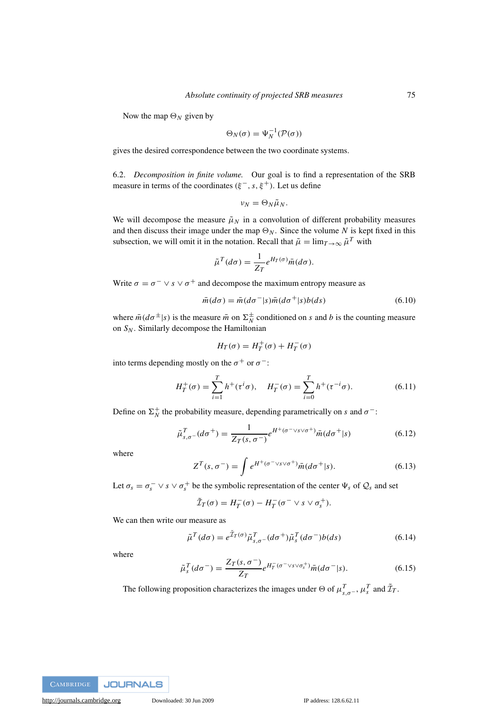Now the map  $\Theta_N$  given by

$$
\Theta_N(\sigma)=\Psi_N^{-1}(\mathcal{P}(\sigma))
$$

gives the desired correspondence between the two coordinate systems.

6.2. *Decomposition in finite volume.* Our goal is to find a representation of the SRB measure in terms of the coordinates  $(\xi^-, s, \xi^+)$ . Let us define

$$
v_N = \Theta_N \tilde{\mu}_N.
$$

We will decompose the measure  $\tilde{\mu}_N$  in a convolution of different probability measures and then discuss their image under the map  $\Theta_N$ . Since the volume N is kept fixed in this subsection, we will omit it in the notation. Recall that  $\tilde{\mu} = \lim_{T \to \infty} \tilde{\mu}^T$  with

$$
\tilde{\mu}^T(d\sigma) = \frac{1}{Z_T} e^{H_T(\sigma)} \bar{m}(d\sigma).
$$

Write  $\sigma = \sigma^- \vee s \vee \sigma^+$  and decompose the maximum entropy measure as

$$
\bar{m}(d\sigma) = \bar{m}(d\sigma^{-}|s)\bar{m}(d\sigma^{+}|s)b(ds)
$$
\n(6.10)

where  $\bar{m}(d\sigma^{\pm}|s)$  is the measure  $\bar{m}$  on  $\Sigma_N^{\pm}$  conditioned on *s* and *b* is the counting measure on  $S_N$ . Similarly decompose the Hamiltonian

$$
H_T(\sigma) = H_T^+(\sigma) + H_T^-(\sigma)
$$

into terms depending mostly on the  $\sigma^+$  or  $\sigma^-$ :

$$
H_T^+(\sigma) = \sum_{i=1}^T h^+(\tau^i \sigma), \quad H_T^-(\sigma) = \sum_{i=0}^T h^+(\tau^{-i} \sigma). \tag{6.11}
$$

Define on  $\Sigma_N^+$  the probability measure, depending parametrically on *s* and  $\sigma^-$ :

$$
\tilde{\mu}_{s,\sigma}^T (d\sigma^+) = \frac{1}{Z_T(s,\sigma^-)} e^{H^+(\sigma^- \vee s \vee \sigma^+)} \bar{m} (d\sigma^+|s)
$$
\n(6.12)

where

$$
Z^{T}(s,\sigma^{-}) = \int e^{H^{+}(\sigma^{-}\vee s\vee\sigma^{+})} \bar{m}(d\sigma^{+}|s).
$$
 (6.13)

Let  $\sigma_s = \sigma_s^- \vee s \vee \sigma_s^+$  be the symbolic representation of the center  $\Psi_s$  of  $Q_s$  and set

$$
\tilde{\mathcal{I}}_T(\sigma) = H_T^-(\sigma) - H_T^-(\sigma^- \vee s \vee \sigma_s^+).
$$

We can then write our measure as

$$
\tilde{\mu}^T(d\sigma) = e^{\tilde{\mathcal{I}}_T(\sigma)} \tilde{\mu}^T_{s,\sigma} - (d\sigma^+) \tilde{\mu}^T_s(d\sigma^-) b(ds) \tag{6.14}
$$

where

$$
\tilde{\mu}_s^T(d\sigma^-) = \frac{Z_T(s, \sigma^-)}{Z_T} e^{H_T^-(\sigma^- \vee s \vee \sigma_s^+)} \bar{m}(d\sigma^-|s). \tag{6.15}
$$

The following proposition characterizes the images under  $\Theta$  of  $\mu_{s,\sigma}^T$ ,  $\mu_s^T$  and  $\tilde{\mathcal{I}}_T$ .

**JOURNAL CAMBRIDGE**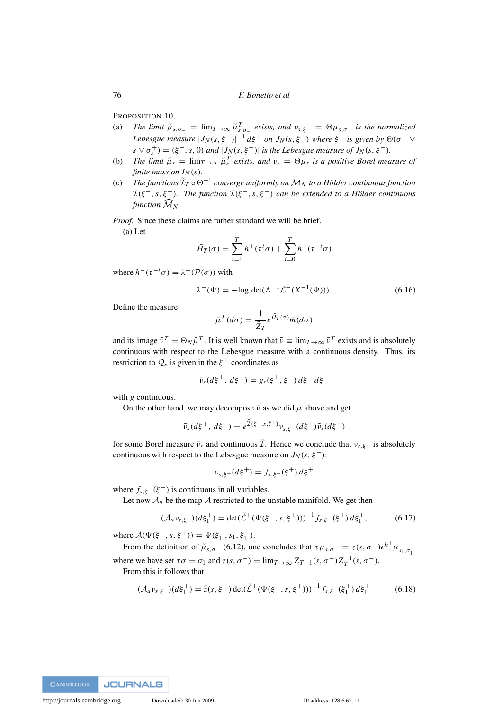PROPOSITION 10.

- (a) *The limit*  $\tilde{\mu}_{s,\sigma_-} = \lim_{T \to \infty} \tilde{\mu}_{s,\sigma_-}^T$  *exists, and*  $v_{s,\xi^-} = \Theta \mu_{s,\sigma^-}$  *is the normalized Lebesgue measure*  $|J_N(s, \xi^-)|^{-1} d\xi^+$  *on*  $J_N(s, \xi^-)$  where  $\xi^-$  is given by  $\Theta(\sigma^- \vee$  $s \vee \sigma_s^+$ ) =  $(\xi^-, s, 0)$  *and*  $|J_N(s, \xi^-)|$  *is the Lebesgue measure of*  $J_N(s, \xi^-)$ *.*
- (b) *The limit*  $\tilde{\mu}_s = \lim_{T \to \infty} \tilde{\mu}_s^T$  *exists, and*  $v_s = \Theta \mu_s$  *is a positive Borel measure of finite mass on*  $I_N(s)$ *.*
- (c) The functions  $\tilde{\mathcal{I}}_T \circ \Theta^{-1}$  converge uniformly on  $\mathcal{M}_N$  to a Hölder continuous function  $I(\xi^-, s, \xi^+)$ *. The function*  $I(\xi^-, s, \xi^+)$  *can be extended to a Hölder continuous function*  $\widehat{M}_N$ *.*

*Proof.* Since these claims are rather standard we will be brief. (a) Let

$$
\bar{H}_T(\sigma) = \sum_{i=1}^T h^+(\tau^i \sigma) + \sum_{i=0}^T h^-(\tau^{-i} \sigma)
$$

where  $h^{-}(\tau^{-i}\sigma) = \lambda^{-}(\mathcal{P}(\sigma))$  with

$$
\lambda^{-}(\Psi) = -\log \det(\Lambda_{-}^{-1} \mathcal{L}^{-} (X^{-1}(\Psi))). \tag{6.16}
$$

Define the measure

$$
\bar{\mu}^T(d\sigma) = \frac{1}{\bar{Z}_T} e^{\bar{H}_T(\sigma)} \bar{m}(d\sigma)
$$

and its image  $\bar{v}^T = \Theta_N \bar{\mu}^T$ . It is well known that  $\bar{v} \equiv \lim_{T \to \infty} \bar{v}^T$  exists and is absolutely continuous with respect to the Lebesgue measure with a continuous density. Thus, its restriction to  $Q_s$  is given in the  $\xi^{\pm}$  coordinates as

$$
\bar{\nu}_s(d\xi^+, d\xi^-) = g_s(\xi^+, \xi^-) d\xi^+ d\xi^-
$$

with *g* continuous.

On the other hand, we may decompose  $\bar{\nu}$  as we did  $\mu$  above and get

$$
\bar{\nu}_s(d\xi^+, d\xi^-) = e^{\bar{\mathcal{I}}(\xi^-, s, \xi^+)} \nu_{s, \xi^-}(d\xi^+) \bar{\nu}_s(d\xi^-)
$$

for some Borel measure  $\bar{v}_s$  and continuous  $\bar{\mathcal{I}}$ . Hence we conclude that  $v_{s,\bar{z}}$ − is absolutely continuous with respect to the Lebesgue measure on  $J_N(s, \xi^-)$ :

$$
\nu_{s,\xi^-}(d\xi^+) = f_{s,\xi^-}(\xi^+) d\xi^+
$$

where  $f_{s,\xi^-}(\xi^+)$  is continuous in all variables.

Let now  $A_u$  be the map  $A$  restricted to the unstable manifold. We get then

$$
(\mathcal{A}_{u}\nu_{s,\xi^{-}})(d\xi_{1}^{+}) = \det(\tilde{\mathcal{L}}^{+}(\Psi(\xi^{-}, s, \xi^{+})))^{-1}f_{s,\xi^{-}}(\xi^{+})d\xi_{1}^{+},
$$
(6.17)

where  $\mathcal{A}(\Psi(\xi^-, s, \xi^+)) = \Psi(\xi_1^-, s_1, \xi_1^+).$ 

From the definition of  $\tilde{\mu}_{s,\sigma}$  – (6.12), one concludes that  $\tau \mu_{s,\sigma^-} = z(s,\sigma^-)e^{h^+} \mu_{s_1,\sigma_1^-}$ 

where we have set  $\tau \sigma = \sigma_1$  and  $z(s, \sigma^-) = \lim_{T \to \infty} Z_{T-1}(s, \sigma^-) Z_T^{-1}(s, \sigma^-)$ . From this it follows that

$$
(\mathcal{A}_{u}v_{s,\xi^{-}})(d\xi_{1}^{+}) = \tilde{z}(s,\xi^{-})\det(\tilde{\mathcal{L}}^{+}(\Psi(\xi^{-},s,\xi^{+})))^{-1}f_{s,\xi^{-}}(\xi_{1}^{+})d\xi_{1}^{+}
$$
(6.18)

**CAMBRIDGE JOURNA**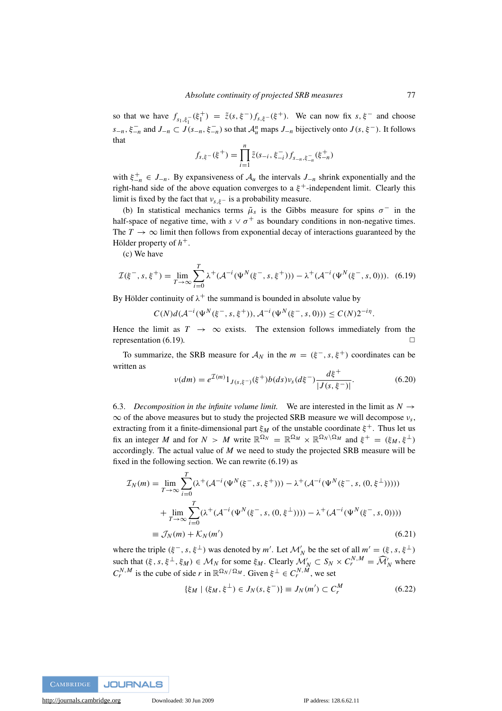so that we have  $f_{s_1, \xi_1^-}(\xi_1^+) = \tilde{z}(s, \xi^-) f_{s, \xi^-}(\xi^+)$ . We can now fix  $s, \xi^-$  and choose *s*−*n*,  $\xi$ <sup>−</sup><sub>*n*</sub></sub> and *J*−*n* ⊂ *J*(*s*−*n*,  $\xi$ <sup>−</sup><sub>*n*</sub></sub>) so that *A*<sup>*n*</sup><sub>*u*</sub> maps *J*−*n* bijectively onto *J*(*s*,  $\xi$ <sup>−</sup>). It follows that

$$
f_{s,\xi^-}(\xi^+) = \prod_{i=1}^n \tilde{z}(s_{-i}, \xi_{-i}^-) f_{s_{-n}, \xi_{-n}^-}(\xi_{-n}^+)
$$

with  $\xi_{-n}^+ \in J_{-n}$ . By expansiveness of  $A_u$  the intervals  $J_{-n}$  shrink exponentially and the right-hand side of the above equation converges to a  $\xi^+$ -independent limit. Clearly this limit is fixed by the fact that  $v_s$ <sub> $s-$ </sub> is a probability measure.

(b) In statistical mechanics terms  $\tilde{\mu}_s$  is the Gibbs measure for spins  $\sigma^-$  in the half-space of negative time, with  $s \vee \sigma^+$  as boundary conditions in non-negative times. The  $T \to \infty$  limit then follows from exponential decay of interactions guaranteed by the Hölder property of  $h^+$ .

(c) We have

$$
\mathcal{I}(\xi^-, s, \xi^+) = \lim_{T \to \infty} \sum_{i=0}^T \lambda^+ (\mathcal{A}^{-i}(\Psi^N(\xi^-, s, \xi^+))) - \lambda^+ (\mathcal{A}^{-i}(\Psi^N(\xi^-, s, 0))). \tag{6.19}
$$

By Hölder continuity of  $\lambda^+$  the summand is bounded in absolute value by

$$
C(N)d(\mathcal{A}^{-i}(\Psi^N(\xi^-,s,\xi^+)),\mathcal{A}^{-i}(\Psi^N(\xi^-,s,0))) \leq C(N)2^{-i\eta}.
$$

Hence the limit as  $T \rightarrow \infty$  exists. The extension follows immediately from the representation (6.19).  $\Box$ 

To summarize, the SRB measure for  $A_N$  in the  $m = (\xi^-, s, \xi^+)$  coordinates can be written as

$$
\nu(dm) = e^{\mathcal{I}(m)} 1_{J(s,\xi^{-})}(\xi^{+}) b(ds) \nu_{s}(d\xi^{-}) \frac{d\xi^{+}}{|J(s,\xi^{-})|}.
$$
\n(6.20)

6.3. *Decomposition in the infinite volume limit.* We are interested in the limit as  $N \rightarrow$  $\infty$  of the above measures but to study the projected SRB measure we will decompose  $v_s$ , extracting from it a finite-dimensional part  $\xi_M$  of the unstable coordinate  $\xi^+$ . Thus let us fix an integer *M* and for  $N > M$  write  $\mathbb{R}^{\Omega_N} = \mathbb{R}^{\Omega_M} \times \mathbb{R}^{\Omega_N \setminus \Omega_M}$  and  $\xi^+ = (\xi_M, \xi^{\perp})$ accordingly. The actual value of *M* we need to study the projected SRB measure will be fixed in the following section. We can rewrite (6.19) as

$$
\mathcal{I}_N(m) = \lim_{T \to \infty} \sum_{i=0}^T (\lambda^+ (\mathcal{A}^{-i}(\Psi^N(\xi^-, s, \xi^+))) - \lambda^+ (\mathcal{A}^{-i}(\Psi^N(\xi^-, s, (0, \xi^\perp))))))
$$
  
+ 
$$
\lim_{T \to \infty} \sum_{i=0}^T (\lambda^+ (\mathcal{A}^{-i}(\Psi^N(\xi^-, s, (0, \xi^\perp)))) - \lambda^+ (\mathcal{A}^{-i}(\Psi^N(\xi^-, s, 0))))
$$
  
=  $\mathcal{J}_N(m) + \mathcal{K}_N(m')$  (6.21)

where the triple  $(\xi^-, s, \xi^\perp)$  was denoted by *m'*. Let  $\mathcal{M}'_N$  be the set of all  $m' = (\xi, s, \xi^\perp)$ such that  $(\xi, s, \xi^{\perp}, \xi_M) \in \mathcal{M}_N$  for some  $\xi_M$ . Clearly  $\mathcal{M}'_N \subset S_N \times C_r^{N,M} = \widehat{\mathcal{M}}'_N$  where  $C_r^{N,M}$  is the cube of side *r* in  $\mathbb{R}^{\Omega_N/\Omega_M}$ . Given  $\xi^{\perp} \in C_r^{N,M}$ , we set

$$
\{\xi_M \mid (\xi_M, \xi^{\perp}) \in J_N(s, \xi^{-})\} \equiv J_N(m') \subset C_r^M \tag{6.22}
$$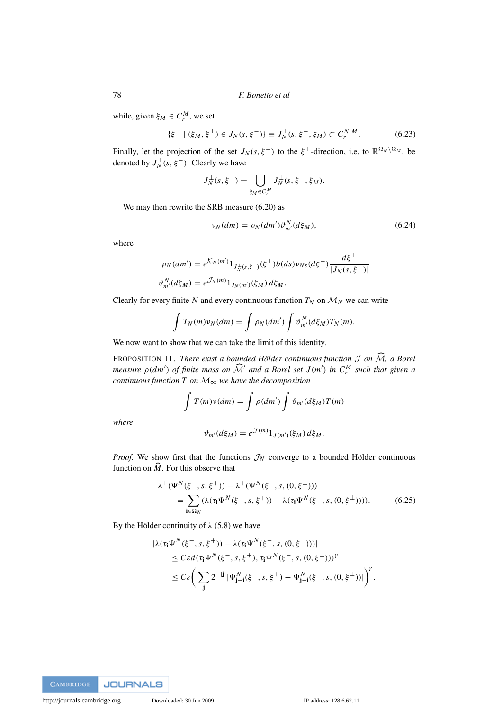while, given  $\xi_M \in C_r^M$ , we set

$$
\{\xi^{\perp} \mid (\xi_M, \xi^{\perp}) \in J_N(s, \xi^-)\} \equiv J_N^{\perp}(s, \xi^-, \xi_M) \subset C_r^{N,M}.
$$
 (6.23)

Finally, let the projection of the set  $J_N(s, \xi^-)$  to the  $\xi^{\perp}$ -direction, i.e. to  $\mathbb{R}^{\Omega_N \setminus \Omega_M}$ , be denoted by  $J_N^{\perp}(s, \xi^-)$ . Clearly we have

$$
J_N^{\perp}(s,\xi^-) = \bigcup_{\xi_M \in C_r^M} J_N^{\perp}(s,\xi^-, \xi_M).
$$

We may then rewrite the SRB measure (6.20) as

$$
\nu_N(dm) = \rho_N(dm')\vartheta_{m'}^N(d\xi_M),\tag{6.24}
$$

where

$$
\rho_N(dm') = e^{\mathcal{K}_N(m')} 1_{J_N^{\perp}(s,\xi^-)}(\xi^{\perp}) b(ds) \nu_{Ns}(d\xi^-) \frac{d\xi^{\perp}}{|J_N(s,\xi^-)|}
$$
  

$$
\vartheta_{m'}^N(d\xi_M) = e^{\mathcal{J}_N(m)} 1_{J_N(m')}(\xi_M) d\xi_M.
$$

Clearly for every finite *N* and every continuous function  $T_N$  on  $M_N$  we can write

$$
\int T_N(m)\nu_N(dm) = \int \rho_N(dm') \int \vartheta_{m'}^N(d\xi_M) T_N(m).
$$

We now want to show that we can take the limit of this identity.

PROPOSITION 11. *There exist a bounded Hölder continuous function*  $\mathcal J$  *on*  $\widehat{\mathcal M}$ *, a Borel measure*  $\rho(dm')$  *of finite mass on*  $\widehat{\mathcal{M}}'$  *and a Borel set*  $J(m')$  *in*  $C_r^M$  *such that given a continuous function*  $T$  *on*  $M_{\infty}$  *we have the decomposition* 

$$
\int T(m)\nu(dm) = \int \rho(dm') \int \vartheta_{m'}(d\xi_M)T(m)
$$

*where*

$$
\vartheta_{m'}(d\xi_M) = e^{\mathcal{J}(m)} 1_{J(m')}(\xi_M) d\xi_M.
$$

*Proof.* We show first that the functions  $J_N$  converge to a bounded Hölder continuous function on  $\widehat{M}$ . For this observe that

$$
\lambda^{+}(\Psi^{N}(\xi^{-}, s, \xi^{+})) - \lambda^{+}(\Psi^{N}(\xi^{-}, s, (0, \xi^{\perp})))
$$
\n
$$
= \sum_{i \in \Omega_{N}} (\lambda(\tau_{i}\Psi^{N}(\xi^{-}, s, \xi^{+})) - \lambda(\tau_{i}\Psi^{N}(\xi^{-}, s, (0, \xi^{\perp}))). \tag{6.25}
$$

By the Hölder continuity of  $\lambda$  (5.8) we have

$$
\begin{split} |\lambda(\tau_{\mathbf{i}}\Psi^{N}(\xi^{-},s,\xi^{+})) - \lambda(\tau_{\mathbf{i}}\Psi^{N}(\xi^{-},s,(0,\xi^{\perp})))| \\ &\leq C\varepsilon d(\tau_{\mathbf{i}}\Psi^{N}(\xi^{-},s,\xi^{+}),\tau_{\mathbf{i}}\Psi^{N}(\xi^{-},s,(0,\xi^{\perp})))^{\gamma} \\ &\leq C\varepsilon\bigg(\sum_{\mathbf{j}} 2^{-|\mathbf{j}|}|\Psi^{N}_{\mathbf{j}-\mathbf{i}}(\xi^{-},s,\xi^{+}) - \Psi^{N}_{\mathbf{j}-\mathbf{i}}(\xi^{-},s,(0,\xi^{\perp}))|\bigg)^{\gamma}. \end{split}
$$

**JOURNAL** 

**CAMBRIDGE**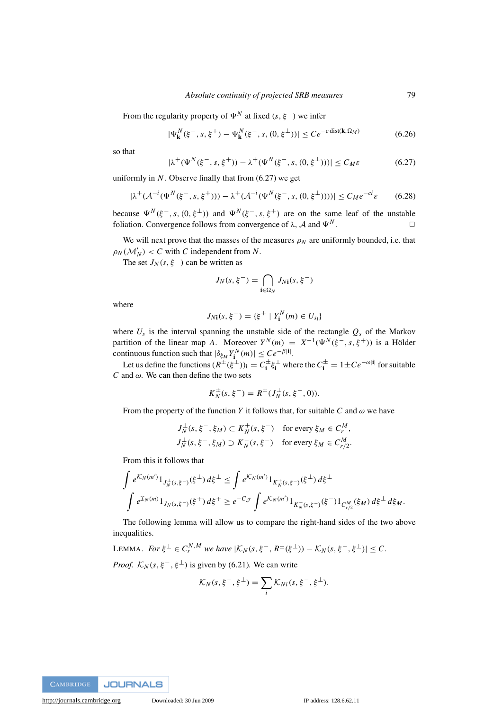From the regularity property of  $\Psi^N$  at fixed *(s, ξ<sup>-</sup>)* we infer

$$
|\Psi_{\mathbf{k}}^{N}(\xi^{-}, s, \xi^{+}) - \Psi_{\mathbf{k}}^{N}(\xi^{-}, s, (0, \xi^{\perp}))| \leq Ce^{-c \operatorname{dist}(\mathbf{k}, \Omega_{M})}
$$
(6.26)

so that

$$
|\lambda^{+}(\Psi^{N}(\xi^{-}, s, \xi^{+})) - \lambda^{+}(\Psi^{N}(\xi^{-}, s, (0, \xi^{\perp})))| \le C_M \varepsilon
$$
 (6.27)

uniformly in *N*. Observe finally that from (6.27) we get

$$
|\lambda^{+}(\mathcal{A}^{-i}(\Psi^{N}(\xi^{-}, s, \xi^{+}))) - \lambda^{+}(\mathcal{A}^{-i}(\Psi^{N}(\xi^{-}, s, (0, \xi^{\perp}))))| \le C_M e^{-ci} \varepsilon
$$
 (6.28)

because  $\Psi^N(\xi^-, s, (0, \xi^{\perp}))$  and  $\Psi^N(\xi^-, s, \xi^+)$  are on the same leaf of the unstable foliation. Convergence follows from convergence of  $\lambda$ , *A* and  $\Psi^N$ .

We will next prove that the masses of the measures  $\rho_N$  are uniformly bounded, i.e. that  $\rho_N(\mathcal{M}'_N) < C$  with *C* independent from *N*.

The set  $J_N(s, \xi^-)$  can be written as

$$
J_N(s, \xi^-) = \bigcap_{\mathbf{i} \in \Omega_N} J_{N\mathbf{i}}(s, \xi^-)
$$

where

$$
J_{N\mathbf{i}}(s,\xi^{-}) = \{\xi^{+} \mid Y_{\mathbf{i}}^{N}(m) \in U_{s_{\mathbf{i}}}\}\
$$

where  $U_s$  is the interval spanning the unstable side of the rectangle  $Q_s$  of the Markov partition of the linear map *A*. Moreover  $Y^N(m) = X^{-1}(\Psi^N(\xi^-, s, \xi^+))$  is a Hölder continuous function such that  $|\delta_{\xi_M} Y_i^N(m)| \leq Ce^{-\beta |\mathbf{i}|}$ .

Let us define the functions  $(R^{\pm}(\xi^{\perp}))_i = C^{\pm}_i \xi_i^{\perp}$  where the  $C^{\pm}_i = 1 \pm Ce^{-\omega |i|}$  for suitable *C* and  $\omega$ . We can then define the two sets

$$
K_N^{\pm}(s,\xi^-) = R^{\pm}(J_N^{\perp}(s,\xi^-,0)).
$$

From the property of the function *Y* it follows that, for suitable *C* and  $\omega$  we have

$$
J_N^{\perp}(s, \xi^-, \xi_M) \subset K_N^+(s, \xi^-) \quad \text{for every } \xi_M \in C_r^M,
$$
  

$$
J_N^{\perp}(s, \xi^-, \xi_M) \supset K_N^-(s, \xi^-) \quad \text{for every } \xi_M \in C_{r/2}^M.
$$

From this it follows that

$$
\int e^{\mathcal{K}_N(m')} 1_{J_N^{\perp}(s,\xi^-)}(\xi^{\perp}) d\xi^{\perp} \le \int e^{\mathcal{K}_N(m')} 1_{K_N^+(s,\xi^-)}(\xi^{\perp}) d\xi^{\perp}
$$
\n
$$
\int e^{\mathcal{I}_N(m)} 1_{J_N(s,\xi^-)}(\xi^+) d\xi^{\perp} \ge e^{-C_{\mathcal{J}}} \int e^{\mathcal{K}_N(m')} 1_{K_N^-(s,\xi^-)}(\xi^-) 1_{C_{r/2}^M}(\xi_M) d\xi^{\perp} d\xi_M.
$$

The following lemma will allow us to compare the right-hand sides of the two above inequalities.

LEMMA. For 
$$
\xi^{\perp} \in C_r^{N,M}
$$
 we have  $|\mathcal{K}_N(s, \xi^-, R^{\pm}(\xi^{\perp})) - \mathcal{K}_N(s, \xi^-, \xi^{\perp})| \leq C$ .

*Proof.*  $K_N(s, \xi^-, \xi^\perp)$  is given by (6.21). We can write

$$
\mathcal{K}_N(s,\xi^-, \xi^\perp) = \sum_i \mathcal{K}_{Ni}(s,\xi^-, \xi^\perp).
$$

**JOURNAI CAMBRIDGE**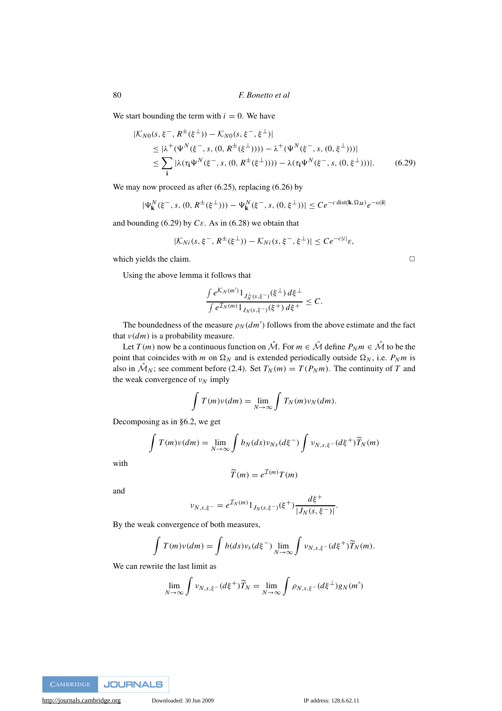We start bounding the term with  $i = 0$ . We have

$$
|K_{N0}(s, \xi^-, R^{\pm}(\xi^{\perp})) - K_{N0}(s, \xi^-, \xi^{\perp})|
$$
  
\n
$$
\leq |\lambda^+(\Psi^N(\xi^-, s, (0, R^{\pm}(\xi^{\perp})))) - \lambda^+(\Psi^N(\xi^-, s, (0, \xi^{\perp}))))|
$$
  
\n
$$
\leq \sum_{\mathbf{i}} |\lambda(\tau_{\mathbf{i}}\Psi^N(\xi^-, s, (0, R^{\pm}(\xi^{\perp})))) - \lambda(\tau_{\mathbf{i}}\Psi^N(\xi^-, s, (0, \xi^{\perp})))|.
$$
 (6.29)

We may now proceed as after (6.25), replacing (6.26) by

$$
|\Psi_{\mathbf{k}}^{N}(\xi^-, s, (0, R^{\pm}(\xi^{\perp}))) - \Psi_{\mathbf{k}}^{N}(\xi^-, s, (0, \xi^{\perp}))| \leq Ce^{-c \operatorname{dist}(\mathbf{k}, \Omega_M)} e^{-\omega |\mathbf{i}|}
$$

and bounding (6.29) by *Cε*. As in (6.28) we obtain that

$$
|\mathcal{K}_{Ni}(s,\xi^-,R^{\pm}(\xi^{\perp})) - \mathcal{K}_{Ni}(s,\xi^-, \xi^{\perp})| \leq Ce^{-c|i|} \varepsilon,
$$

which yields the claim.  $\Box$ 

Using the above lemma it follows that

$$
\frac{\int e^{\mathcal{K}_N(m')} 1_{J_N^{\perp}(s,\xi^-)}(\xi^{\perp}) d\xi^{\perp}}{\int e^{\mathcal{I}_N(m)} 1_{J_N(s,\xi^-)}(\xi^+) d\xi^+} \leq C.
$$

The boundedness of the measure  $\rho_N(dm')$  follows from the above estimate and the fact that  $v(dm)$  is a probability measure.

Let  $T(m)$  now be a continuous function on  $\hat{\mathcal{M}}$ . For  $m \in \hat{\mathcal{M}}$  define  $P_N m \in \hat{\mathcal{M}}$  to be the point that coincides with *m* on  $\Omega_N$  and is extended periodically outside  $\Omega_N$ , i.e.  $P_N m$  is also in  $\mathcal{M}_N$ ; see comment before (2.4). Set  $T_N(m) = T(P_N m)$ . The continuity of *T* and the weak convergence of  $v_N$  imply

$$
\int T(m)\nu(dm) = \lim_{N \to \infty} \int T_N(m)\nu_N(dm).
$$

Decomposing as in §6.2, we get

$$
\int T(m)\nu(dm) = \lim_{N \to \infty} \int b_N(ds)\nu_{Ns}(d\xi^-) \int \nu_{N,s,\xi^-}(d\xi^+) \widetilde{T}_N(m)
$$

with

$$
\widetilde{T}(m) = e^{\mathcal{I}(m)} T(m)
$$

and

$$
\nu_{N,s,\xi^{-}} = e^{\mathcal{I}_N(m)} 1_{J_N(s,\xi^{-})} (\xi^{+}) \frac{d\xi^{+}}{|J_N(s,\xi^{-})|}.
$$

By the weak convergence of both measures,

$$
\int T(m)\nu(dm) = \int b(ds)\nu_s(d\xi^-) \lim_{N \to \infty} \int \nu_{N,s,\xi^-}(d\xi^+) \widetilde{T}_N(m).
$$

We can rewrite the last limit as

$$
\lim_{N \to \infty} \int \nu_{N,s,\xi^-}(d\xi^+) \widetilde{T}_N = \lim_{N \to \infty} \int \rho_{N,s,\xi^-}(d\xi^{\perp}) g_N(m')
$$

**JOURNAL**  $\mathbf{a}$ 

<http://journals.cambridge.org> Downloaded: 30 Jun 2009 IP address: 128.6.62.11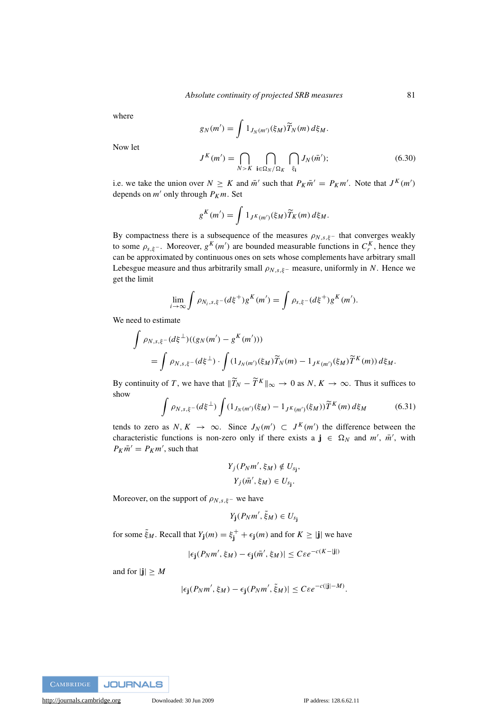where

$$
g_N(m') = \int 1_{J_N(m')}(\xi_M) \widetilde{T}_N(m) d\xi_M.
$$

Now let

$$
J^K(m') = \bigcap_{N>K} \bigcap_{\mathbf{i}\in\Omega_N/\Omega_K} \bigcap_{\xi_{\mathbf{i}}} J_N(\bar{m}');\tag{6.30}
$$

i.e. we take the union over  $N \geq K$  and  $\bar{m}'$  such that  $P_K \bar{m}' = P_K m'$ . Note that  $J^K(m')$ depends on  $m'$  only through  $P_K m$ . Set

$$
g^K(m') = \int 1_{J^K(m')}(\xi_M) \widetilde{T}_K(m) d\xi_M.
$$

By compactness there is a subsequence of the measures  $\rho_{N,s,\xi^-}$  that converges weakly to some  $\rho_{s,\xi}$ -. Moreover,  $g^K(m')$  are bounded measurable functions in  $C_f^K$ , hence they can be approximated by continuous ones on sets whose complements have arbitrary small Lebesgue measure and thus arbitrarily small  $\rho_{N,s,\xi}$ − measure, uniformly in *N*. Hence we get the limit

$$
\lim_{i \to \infty} \int \rho_{N_i,s,\xi} - (d\xi^+) g^K(m') = \int \rho_{s,\xi} - (d\xi^+) g^K(m').
$$

We need to estimate

$$
\int \rho_{N,s,\xi} - (d\xi^{\perp}) ((g_N(m') - g^K(m'))) \n= \int \rho_{N,s,\xi} - (d\xi^{\perp}) \cdot \int (1_{J_N(m')}(\xi_M) \widetilde{T}_N(m) - 1_{J^K(m')}(\xi_M) \widetilde{T}^K(m)) d\xi_M.
$$

By continuity of *T*, we have that  $\|\widetilde{T}_N - \widetilde{T}^K\|_{\infty} \to 0$  as  $N, K \to \infty$ . Thus it suffices to show

$$
\int \rho_{N,s,\xi^-}(d\xi^{\perp}) \int (1_{J_N(m')}(\xi_M) - 1_{J^K(m')}(\xi_M)) \widetilde{T}^K(m) d\xi_M \tag{6.31}
$$

tends to zero as  $N, K \rightarrow \infty$ . Since  $J_N(m') \subset J^K(m')$  the difference between the characteristic functions is non-zero only if there exists a  $\mathbf{j} \in \Omega_N$  and  $m'$ ,  $\bar{m}'$ , with  $P_K \bar{m}' = P_K m'$ , such that

$$
Y_j(P_N m', \xi_M) \notin U_{s_j},
$$
  

$$
Y_j(\bar{m}', \xi_M) \in U_{s_j}.
$$

Moreover, on the support of  $\rho_{N,s,\xi^-}$  we have

$$
Y_{\mathbf{j}}(P_N m', \tilde{\xi}_M) \in U_{s_{\mathbf{j}}}
$$

for some  $\tilde{\xi}_M$ . Recall that  $Y_{\mathbf{j}}(m) = \xi_{\mathbf{j}}^+ + \epsilon_{\mathbf{j}}(m)$  and for  $K \geq |\mathbf{j}|$  we have

$$
|\epsilon_{\mathbf{j}}(P_N m', \xi_M) - \epsilon_{\mathbf{j}}(\bar{m}', \xi_M)| \leq C \varepsilon e^{-c(K - |\mathbf{j}|)}
$$

and for  $|\mathbf{j}| \geq M$ 

$$
|\epsilon_{\mathbf{j}}(P_N m', \xi_M) - \epsilon_{\mathbf{j}}(P_N m', \tilde{\xi}_M)| \leq C \varepsilon e^{-c(|\mathbf{j}| - M)}.
$$

**JOURNAL CAMBRIDGE**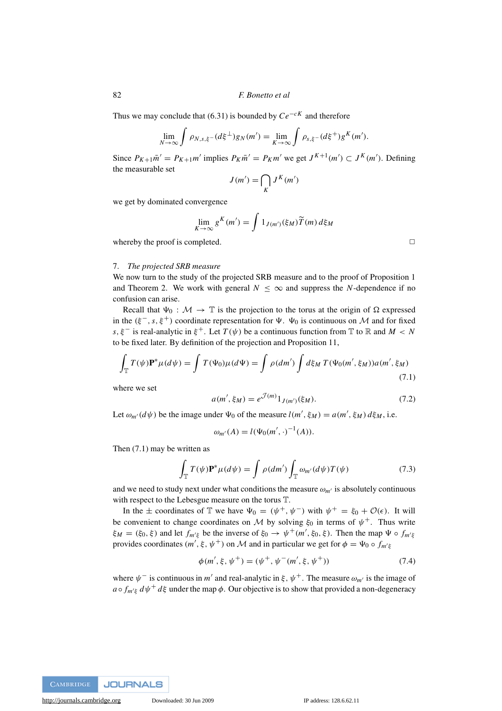Thus we may conclude that (6.31) is bounded by  $Ce^{-cK}$  and therefore

$$
\lim_{N\to\infty}\int \rho_{N,s,\xi}-(d\xi^{\perp})g_N(m')=\lim_{K\to\infty}\int \rho_{s,\xi}-(d\xi^{\perp})g^K(m').
$$

Since  $P_{K+1}\bar{m}' = P_{K+1}m'$  implies  $P_K\bar{m}' = P_Km'$  we get  $J^{K+1}(m') \subset J^K(m')$ . Defining the measurable set

$$
J(m') = \bigcap_{K} J^{K}(m')
$$

we get by dominated convergence

$$
\lim_{K \to \infty} g^K(m') = \int 1_{J(m')}(\xi_M) \widetilde{T}(m) d\xi_M
$$

whereby the proof is completed.  $\Box$ 

#### 7. *The projected SRB measure*

We now turn to the study of the projected SRB measure and to the proof of Proposition 1 and Theorem 2. We work with general  $N \leq \infty$  and suppress the *N*-dependence if no confusion can arise.

Recall that  $\Psi_0 : \mathcal{M} \to \mathbb{T}$  is the projection to the torus at the origin of  $\Omega$  expressed in the  $(\xi^-, s, \xi^+)$  coordinate representation for  $\Psi$ .  $\Psi_0$  is continuous on *M* and for fixed *s*,  $\xi^-$  is real-analytic in  $\xi^+$ . Let  $T(\psi)$  be a continuous function from  $\mathbb T$  to  $\mathbb R$  and  $M < N$ to be fixed later. By definition of the projection and Proposition 11,

$$
\int_{\mathbb{T}} T(\psi) \mathbf{P}^* \mu(d\psi) = \int T(\Psi_0) \mu(d\Psi) = \int \rho(d\mathbf{m}') \int d\xi_M T(\Psi_0(\mathbf{m}', \xi_M)) a(\mathbf{m}', \xi_M)
$$
\n(7.1)

where we set

$$
a(m', \xi_M) = e^{\mathcal{J}(m)} 1_{J(m')}(\xi_M). \tag{7.2}
$$

Let  $\omega_{m'}(d\psi)$  be the image under  $\Psi_0$  of the measure  $l(m', \xi_M) = a(m', \xi_M) d\xi_M$ , i.e.

$$
\omega_{m'}(A) = l(\Psi_0(m', \cdot)^{-1}(A)).
$$

Then (7.1) may be written as

$$
\int_{\mathbb{T}} T(\psi) \mathbf{P}^* \mu(d\psi) = \int \rho(d\mathbf{m}') \int_{\mathbb{T}} \omega_{m'}(d\psi) T(\psi)
$$
\n(7.3)

and we need to study next under what conditions the measure  $\omega_{m'}$  is absolutely continuous with respect to the Lebesgue measure on the torus T.

In the  $\pm$  coordinates of T we have  $\Psi_0 = (\psi^+, \psi^-)$  with  $\psi^+ = \xi_0 + \mathcal{O}(\epsilon)$ . It will be convenient to change coordinates on *M* by solving  $\xi_0$  in terms of  $\psi^+$ . Thus write  $\xi_M = (\xi_0, \xi)$  and let  $f_{m'\xi}$  be the inverse of  $\xi_0 \to \psi^+(m', \xi_0, \xi)$ . Then the map  $\Psi \circ f_{m'\xi}$ provides coordinates  $(m', \xi, \psi^+)$  on *M* and in particular we get for  $\phi = \Psi_0 \circ f_{m' \xi}$ 

$$
\phi(m', \xi, \psi^+) = (\psi^+, \psi^-(m', \xi, \psi^+))
$$
\n(7.4)

where  $\psi^-$  is continuous in *m'* and real-analytic in  $\xi$ ,  $\psi^+$ . The measure  $\omega_{m'}$  is the image of  $a \circ f_{m' \xi} d\psi^+ d\xi$  under the map  $\phi$ . Our objective is to show that provided a non-degeneracy

**CAMBRIDGE JOURNA**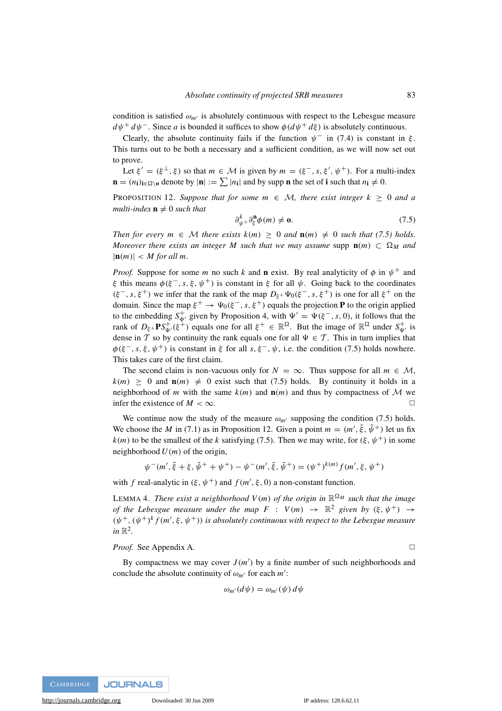condition is satisfied  $\omega_{m'}$  is absolutely continuous with respect to the Lebesgue measure  $d\psi^+ d\psi^-$ . Since *a* is bounded it suffices to show  $\phi(d\psi^+ d\xi)$  is absolutely continuous.

Clearly, the absolute continuity fails if the function  $\psi^-$  in (7.4) is constant in  $\xi$ . This turns out to be both a necessary and a sufficient condition, as we will now set out to prove.

Let  $\xi' = (\xi^{\perp}, \xi)$  so that  $m \in \mathcal{M}$  is given by  $m = (\xi^-, s, \xi', \psi^+)$ . For a multi-index **n** =  $(n_i)_{i \in \Omega \setminus 0}$  denote by  $|\mathbf{n}| := \sum |n_i|$  and by supp **n** the set of **i** such that  $n_i \neq 0$ .

PROPOSITION 12. Suppose that for some  $m \in M$ , there exist integer  $k \geq 0$  and a  $multi-index \, \mathbf{n} \neq 0$  such that

$$
\partial_{\psi}^{k} + \partial_{\xi}^{n} \phi(m) \neq \mathbf{0}.\tag{7.5}
$$

*Then for every*  $m \in M$  *there exists*  $k(m) \geq 0$  *and*  $\mathbf{n}(m) \neq 0$  *such that* (7.5) *holds. Moreover there exists an integer M such that we may assume* supp  $\mathbf{n}(m) \subset \Omega_M$  and  $|\mathbf{n}(m)| < M$  *for all m.* 

*Proof.* Suppose for some *m* no such *k* and **n** exist. By real analyticity of  $\phi$  in  $\psi^+$  and *ξ* this means  $\phi(\xi^-, s, \xi, \psi^+)$  is constant in *ξ* for all *ψ*. Going back to the coordinates  $(\xi^-, s, \xi^+)$  we infer that the rank of the map  $D_{\xi^+} \Psi_0(\xi^-, s, \xi^+)$  is one for all  $\xi^+$  on the domain. Since the map  $\xi^+ \to \Psi_0(\xi^-, s, \xi^+)$  equals the projection **P** to the origin applied to the embedding  $S_{\Psi}^+$  given by Proposition 4, with  $\Psi' = \Psi(\xi^-, s, 0)$ , it follows that the rank of  $D_{\xi}$ + $\mathbf{P}S_{\Psi'}^{+}(\xi^{+})$  equals one for all  $\xi^{+} \in \mathbb{R}^{\Omega}$ . But the image of  $\mathbb{R}^{\Omega}$  under  $S_{\Psi'}^{+}$  is dense in  $\tilde{T}$  so by continuity the rank equals one for all  $\Psi \in \mathcal{T}$ . This in turn implies that  $\phi(\xi^-, s, \xi, \psi^+)$  is constant in  $\xi$  for all  $s, \xi^-, \psi$ , i.e. the condition (7.5) holds nowhere. This takes care of the first claim.

The second claim is non-vacuous only for  $N = \infty$ . Thus suppose for all  $m \in M$ ,  $k(m) \geq 0$  and  $\mathbf{n}(m) \neq 0$  exist such that (7.5) holds. By continuity it holds in a neighborhood of *m* with the same  $k(m)$  and  $\mathbf{n}(m)$  and thus by compactness of *M* we infer the existence of  $M < \infty$ . infer the existence of  $M < \infty$ .

We continue now the study of the measure  $\omega_{m'}$  supposing the condition (7.5) holds. We choose the *M* in (7.1) as in Proposition 12. Given a point  $m = (m', \tilde{\xi}, \tilde{\psi}^+)$  let us fix  $k(m)$  to be the smallest of the *k* satisfying (7.5). Then we may write, for  $(\xi, \psi^+)$  in some neighborhood  $U(m)$  of the origin,

 $\psi^-(m', \tilde{\xi} + \xi, \tilde{\psi}^+ + \psi^+) - \psi^-(m', \tilde{\xi}, \tilde{\psi}^+) = (\psi^+)^{k(m)} f(m', \xi, \psi^+)$ 

with *f* real-analytic in  $(\xi, \psi^+)$  and  $f(m', \xi, 0)$  a non-constant function.

LEMMA 4. *There exist a neighborhood*  $V(m)$  *of the origin in*  $\mathbb{R}^{\Omega_M}$  *such that the image of the Lebesgue measure under the map*  $F : V(m) \rightarrow \mathbb{R}^2$  *given by*  $(\xi, \psi^+) \rightarrow$  $(\psi^+, (\psi^+)^k f(m', \xi, \psi^+))$  *is absolutely continuous with respect to the Lebesgue measure*  $in \mathbb{R}^2$ .

#### *Proof.* See Appendix A. ◯

By compactness we may cover  $J(m')$  by a finite number of such neighborhoods and conclude the absolute continuity of  $\omega_{m'}$  for each  $m'$ :

$$
\omega_{m'}(d\psi)=\omega_{m'}(\psi)\,d\psi
$$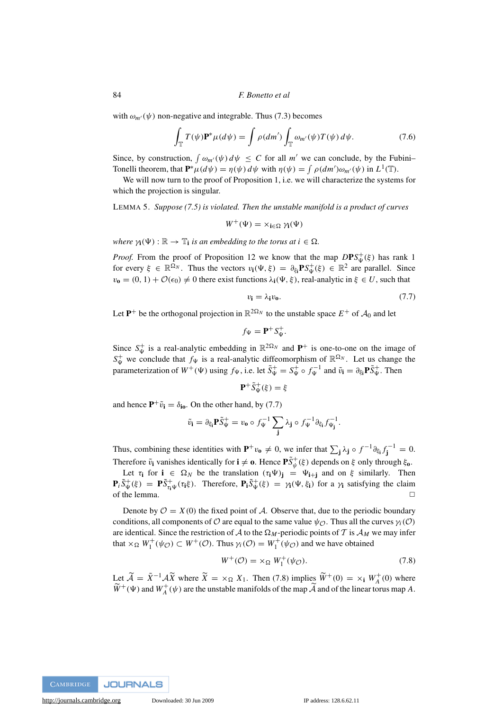with  $\omega_{m'}(\psi)$  non-negative and integrable. Thus (7.3) becomes

$$
\int_{\mathbb{T}} T(\psi) \mathbf{P}^* \mu(d\psi) = \int \rho(d\mathbf{m}') \int_{\mathbb{T}} \omega_{\mathbf{m}'}(\psi) T(\psi) d\psi.
$$
\n(7.6)

Since, by construction,  $\int \omega_{m'}(\psi) d\psi \leq C$  for all *m'* we can conclude, by the Fubini– Tonelli theorem, that  $\mathbf{P}^*\mu(d\psi) = \eta(\psi) d\psi$  with  $\eta(\psi) = \int \rho(d\mathbf{m}')\omega_{\mathbf{m}'}(\psi)$  in  $L^1(\mathbb{T})$ .

We will now turn to the proof of Proposition 1, i.e. we will characterize the systems for which the projection is singular.

LEMMA 5. *Suppose (7.5) is violated. Then the unstable manifold is a product of curves*

$$
W^+(\Psi) = \times_{\mathbf{i} \in \Omega} \gamma_{\mathbf{i}}(\Psi)
$$

*where*  $\gamma_i(\Psi) : \mathbb{R} \to \mathbb{T}_i$  *is an embedding to the torus at*  $i \in \Omega$ *.* 

*Proof.* From the proof of Proposition 12 we know that the map  $D\mathbf{P} S_{\Psi}^{+}(\xi)$  has rank 1 for every  $\xi \in \mathbb{R}^{\Omega_N}$ . Thus the vectors  $v_i(\Psi, \xi) = \partial_{\xi_i} \mathbf{P} S_{\Psi}^+(\xi) \in \mathbb{R}^2$  are parallel. Since  $v_0 = (0, 1) + \mathcal{O}(\epsilon_0) \neq 0$  there exist functions  $\lambda_i(\Psi, \xi)$ , real-analytic in  $\xi \in U$ , such that

$$
v_{\mathbf{i}} = \lambda_{\mathbf{i}} v_{\mathbf{0}}.\tag{7.7}
$$

Let  $P^+$  be the orthogonal projection in  $\mathbb{R}^{2\Omega_N}$  to the unstable space  $E^+$  of  $\mathcal{A}_0$  and let

$$
f_{\Psi} = \mathbf{P}^{+} S_{\Psi}^{+}.
$$

Since  $S^+_{\Psi}$  is a real-analytic embedding in  $\mathbb{R}^{2\Omega_N}$  and  $\mathbf{P}^+$  is one-to-one on the image of  $S_{\Psi}^+$  we conclude that  $f_{\Psi}$  is a real-analytic diffeomorphism of  $\mathbb{R}^{\Omega_N}$ . Let us change the parameterization of  $W^+(\Psi)$  using  $f_{\Psi}$ , i.e. let  $\tilde{S}_{\Psi}^+ = S_{\Psi}^+ \circ f_{\Psi}^{-1}$  and  $\tilde{v}_{\mathbf{i}} = \partial_{\xi_{\mathbf{i}}} \mathbf{P} \tilde{S}_{\Psi}^+$ . Then

$$
\mathbf{P}^+ \tilde{S}^+_{\Psi}(\xi) = \xi
$$

and hence  $\mathbf{P}^+ \tilde{v}_i = \delta_{i_0}$ . On the other hand, by (7.7)

$$
\tilde{\upsilon}_{\mathbf{i}}=\partial_{\xi_{\mathbf{i}}}P\tilde{S}^{+}_{\Psi}=\upsilon_{\mathbf{0}}\circ f_{\Psi}^{-1}\sum_{\mathbf{j}}\lambda_{\mathbf{j}}\circ f_{\Psi}^{-1}\partial_{\xi_{\mathbf{i}}}f_{\Psi_{\mathbf{j}}}^{-1}.
$$

Thus, combining these identities with  $\mathbf{P}^+v_0 \neq 0$ , we infer that  $\sum_{\mathbf{j}} \lambda_{\mathbf{j}} \circ f^{-1} \partial_{\xi_{\mathbf{i}}} f_{\mathbf{j}}^{-1} = 0$ . Therefore  $\tilde{v}_i$  vanishes identically for  $i \neq o$ . Hence  $\mathbf{P}\tilde{S}_{\psi}^+(\xi)$  depends on  $\xi$  only through  $\xi_o$ .

Let  $\tau_i$  for  $i \in \Omega_N$  be the translation  $(\tau_i \Psi)_j = \Psi_{i+j}$  and on  $\xi$  similarly. Then  $\mathbf{P}_i \tilde{S}_{\Psi}^+(\xi) = \mathbf{P}\tilde{S}_{\tau_i\Psi}^+(\tau_i\xi)$ . Therefore,  $\mathbf{P}_i \tilde{S}_{\Psi}^+(\xi) = \gamma_i(\Psi, \xi_i)$  for a  $\gamma_i$  satisfying the claim of the lemma.  $\Box$ 

Denote by  $\mathcal{O} = X(0)$  the fixed point of A. Observe that, due to the periodic boundary conditions, all components of  $O$  are equal to the same value  $\psi_O$ . Thus all the curves  $\gamma_i(O)$ are identical. Since the restriction of *A* to the  $\Omega_M$ -periodic points of *T* is  $\mathcal{A}_M$  we may infer that  $\times_{\Omega} W_1^+(\psi_{\mathcal{O}}) \subset W^+(\mathcal{O})$ . Thus  $\gamma_i(\mathcal{O}) = W_1^+(\psi_{\mathcal{O}})$  and we have obtained

$$
W^{+}(\mathcal{O}) = \times_{\Omega} W_{1}^{+}(\psi_{\mathcal{O}}). \tag{7.8}
$$

Let  $\widetilde{A} = \widetilde{X}^{-1}A\widetilde{X}$  where  $\widetilde{X} = \times_{\Omega} X_1$ . Then (7.8) implies  $\widetilde{W}^+(0) = \times_{\mathbf{i}} W^+_A(0)$  where  $\widetilde{W}^+(\Psi)$  and  $W^+(\psi)$  are the unstable manifolds of the map  $\widetilde{A}$  and of the linear torus map *A*.

**JOURNA** 

**CAMBRIDGE**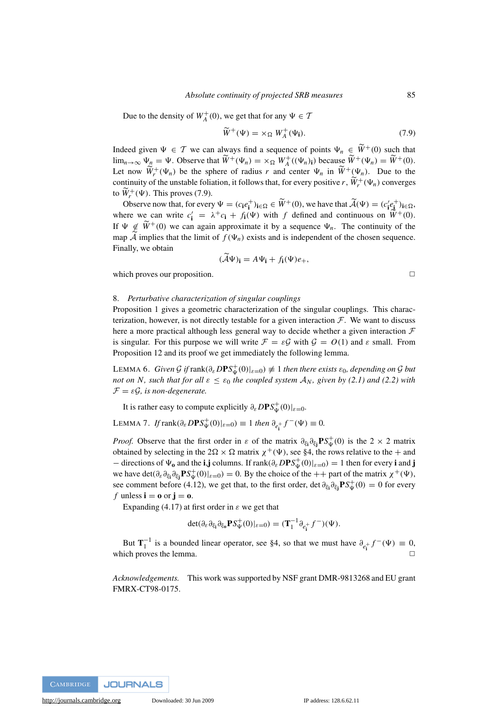Due to the density of  $W_A^+(0)$ , we get that for any  $\Psi \in \mathcal{I}$ 

$$
\widetilde{W}^+(\Psi) = \times_{\Omega} W_A^+(\Psi_{\mathbf{i}}). \tag{7.9}
$$

Indeed given  $\Psi \in \mathcal{T}$  we can always find a sequence of points  $\Psi_n \in \widetilde{W}^+(0)$  such that  $\lim_{n\to\infty} \Psi_n = \Psi$ . Observe that  $\widetilde{W}^+(\Psi_n) = \times_{\Omega} W^+_A((\Psi_n)_i)$  because  $\widetilde{W}^+(\Psi_n) = \widetilde{W}^+(0)$ . Let now  $\widetilde{W}_r^+ (\Psi_n)$  be the sphere of radius *r* and center  $\Psi_n$  in  $\widetilde{W}_r^+ (\Psi_n)$ . Due to the continuity of the unstable foliation, it follows that, for every positive *r*,  $\widetilde{W}_r^+(\Psi_n)$  converges to  $\widetilde{W}_r^+(\Psi)$ . This proves (7.9).

Observe now that, for every  $\Psi = (c_1 e_1^+)_{i \in \Omega} \in \widetilde{W}^+(0)$ , we have that  $\widetilde{\mathcal{A}}(\Psi) = (c'_1 e_1^+)_{i \in \Omega}$ , where we can write  $c'_i = \lambda^+ c_i + f_i(\Psi)$  with f defined and continuous on  $\widetilde{W}^+(0)$ . If  $\Psi \not\in \widetilde{W}^+(0)$  we can again approximate it by a sequence  $\Psi_n$ . The continuity of the map  $\tilde{A}$  implies that the limit of  $f(\Psi_n)$  exists and is independent of the chosen sequence. Finally, we obtain

$$
(\mathcal{A}\Psi)_\mathbf{i} = A\Psi_\mathbf{i} + f_\mathbf{i}(\Psi)e_+,
$$

which proves our proposition.  $\Box$ 

## 8. *Perturbative characterization of singular couplings*

Proposition 1 gives a geometric characterization of the singular couplings. This characterization, however, is not directly testable for a given interaction  $\mathcal{F}$ . We want to discuss here a more practical although less general way to decide whether a given interaction *F* is singular. For this purpose we will write  $\mathcal{F} = \varepsilon \mathcal{G}$  with  $\mathcal{G} = O(1)$  and  $\varepsilon$  small. From Proposition 12 and its proof we get immediately the following lemma.

 $\text{LEMMA } 6$ . *Given G if*  $\text{rank}(\partial_{\varepsilon}D\mathbf{P}S_{\Psi}^+(0)|_{\varepsilon=0}) \neq 1$  *then there exists*  $\varepsilon_0$ *, depending on G but not on N, such that for all*  $\varepsilon \leq \varepsilon_0$  *the coupled system*  $A_N$ *, given by (2.1) and (2.2) with*  $\mathcal{F} = \varepsilon \mathcal{G}$ *, is non-degenerate.* 

It is rather easy to compute explicitly  $\partial_{\varepsilon} D\mathbf{P} S_{\Psi}^{+}(0)|_{\varepsilon=0}$ .

LEMMA 7. *If*  $rank(\partial_{\varepsilon}DPS_{\Psi}^{+}(0)|_{\varepsilon=0}) \equiv 1$  *then*  $\partial_{e_{i}^{+}}f^{-}(\Psi) \equiv 0$ .

*Proof.* Observe that the first order in  $\varepsilon$  of the matrix  $\partial_{\xi_i}\partial_{\xi_j}P S^+_{\Psi}(0)$  is the 2 × 2 matrix obtained by selecting in the  $2\Omega \times \Omega$  matrix  $\chi^+(\Psi)$ , see §4, the rows relative to the + and  $-$  directions of  $\Psi_0$  and the **i**,**j** columns. If  $rank(\partial_{\varepsilon}DPS^+_{\Psi}(0)|_{\varepsilon=0}) = 1$  then for every **i** and **j** we have det $(\partial_{\varepsilon} \partial_{\xi_i} \partial_{\xi_j} P S^+_{\Psi}(0)|_{\varepsilon=0}) = 0$ . By the choice of the ++ part of the matrix  $\chi^+(\Psi)$ , see comment before (4.12), we get that, to the first order, det  $\partial_{\xi_i} \partial_{\xi_j} P S^+_{\Psi}(0) = 0$  for every  $f$  unless  $\mathbf{i} = \mathbf{o}$  or  $\mathbf{j} = \mathbf{o}$ .

Expanding (4.17) at first order in *ε* we get that

$$
\det(\partial_{\varepsilon}\partial_{\xi_{\mathbf{i}}}\partial_{\xi_{\mathbf{0}}}\mathbf{P} S_{\Psi}^{+}(0)|_{\varepsilon=0})=(\mathbf{T}_{1}^{-1}\partial_{e_{\mathbf{i}}^{+}}f^{-})(\Psi).
$$

But  $\mathbf{T}_1^{-1}$  is a bounded linear operator, see §4, so that we must have  $\partial_{e_1^+} f^-(\Psi) \equiv 0$ , which proves the lemma.

*Acknowledgements.* This work was supported by NSF grant DMR-9813268 and EU grant FMRX-CT98-0175.

**CAMBRIDGE JOURNALS**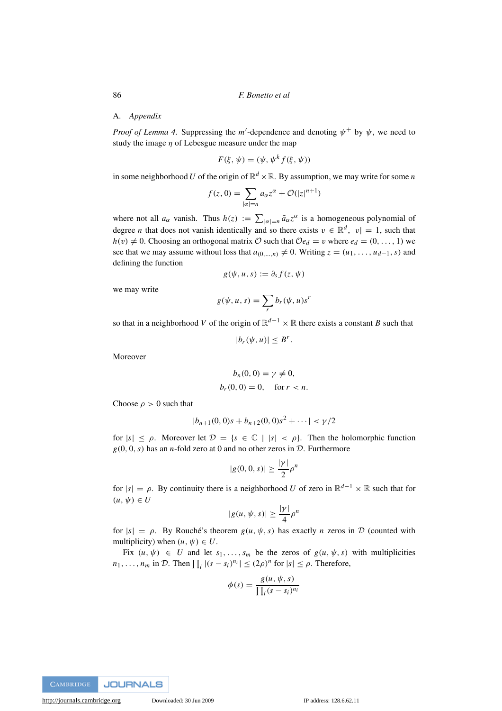## A. *Appendix*

*Proof of Lemma 4.* Suppressing the *m*'-dependence and denoting  $\psi^+$  by  $\psi$ , we need to study the image *η* of Lebesgue measure under the map

$$
F(\xi, \psi) = (\psi, \psi^k f(\xi, \psi))
$$

in some neighborhood *U* of the origin of  $\mathbb{R}^d \times \mathbb{R}$ . By assumption, we may write for some *n* 

$$
f(z,0) = \sum_{|\alpha|=n} a_{\alpha} z^{\alpha} + \mathcal{O}(|z|^{n+1})
$$

where not all  $a_{\alpha}$  vanish. Thus  $h(z) := \sum_{|\alpha|=n} \tilde{a}_{\alpha} z^{\alpha}$  is a homogeneous polynomial of degree *n* that does not vanish identically and so there exists  $v \in \mathbb{R}^d$ ,  $|v| = 1$ , such that  $h(v) \neq 0$ . Choosing an orthogonal matrix  $O$  such that  $Oe_d = v$  where  $e_d = (0, \ldots, 1)$  we see that we may assume without loss that  $a_{(0,...,n)} \neq 0$ . Writing  $z = (u_1, \ldots, u_{d-1}, s)$  and defining the function

$$
g(\psi, u, s) := \partial_s f(z, \psi)
$$

we may write

$$
g(\psi, u, s) = \sum_{r} b_r(\psi, u) s^r
$$

so that in a neighborhood *V* of the origin of  $\mathbb{R}^{d-1} \times \mathbb{R}$  there exists a constant *B* such that

$$
|b_r(\psi, u)| \leq B^r.
$$

Moreover

$$
b_n(0,0) = \gamma \neq 0,
$$
  

$$
b_r(0,0) = 0, \quad \text{for } r < n.
$$

Choose  $\rho > 0$  such that

$$
|b_{n+1}(0,0)s + b_{n+2}(0,0)s^2 + \cdots| < \gamma/2
$$

for  $|s| \leq \rho$ . Moreover let  $\mathcal{D} = \{s \in \mathbb{C} \mid |s| < \rho\}$ . Then the holomorphic function  $g(0, 0, s)$  has an *n*-fold zero at 0 and no other zeros in *D*. Furthermore

$$
|g(0,0,s)| \ge \frac{|\gamma|}{2} \rho^n
$$

for  $|s| = \rho$ . By continuity there is a neighborhood *U* of zero in  $\mathbb{R}^{d-1} \times \mathbb{R}$  such that for  $(u, \psi) \in U$ 

$$
|g(u, \psi, s)| \ge \frac{|\gamma|}{4} \rho^n
$$

for  $|s| = \rho$ . By Rouché's theorem  $g(u, \psi, s)$  has exactly *n* zeros in *D* (counted with multiplicity) when  $(u, \psi) \in U$ .

Fix  $(u, \psi) \in U$  and let  $s_1, \ldots, s_m$  be the zeros of  $g(u, \psi, s)$  with multiplicities  $n_1, \ldots, n_m$  in *D*. Then  $\prod_i |(s - s_i)^{n_i}| \leq (2\rho)^n$  for  $|s| \leq \rho$ . Therefore,

$$
\phi(s) = \frac{g(u, \psi, s)}{\prod_i (s - s_i)^{n_i}}
$$

**JOURNAI CAMBRIDGE**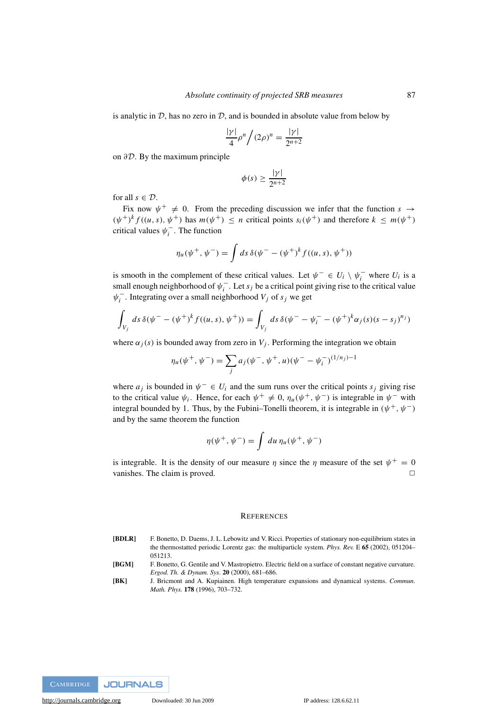is analytic in  $D$ , has no zero in  $D$ , and is bounded in absolute value from below by

$$
\frac{|\gamma|}{4}\rho^n/(2\rho)^n = \frac{|\gamma|}{2^{n+2}}
$$

on *∂D*. By the maximum principle

$$
\phi(s) \ge \frac{|\gamma|}{2^{n+2}}
$$

for all  $s \in \mathcal{D}$ .

Fix now  $\psi^+ \neq 0$ . From the preceding discussion we infer that the function  $s \to$  $(\psi^+)^k f((u, s), \psi^+)$  has  $m(\psi^+) \leq n$  critical points  $s_i(\psi^+)$  and therefore  $k \leq m(\psi^+)$ critical values  $\psi_i^-$ . The function

$$
\eta_u(\psi^+, \psi^-) = \int ds \, \delta(\psi^- - (\psi^+)^k f((u, s), \psi^+))
$$

is smooth in the complement of these critical values. Let  $\psi^- \in U_i \setminus \psi_i^-$  where  $U_i$  is a small enough neighborhood of  $\psi_i^-$ . Let  $s_j$  be a critical point giving rise to the critical value  $\psi_i^-$ . Integrating over a small neighborhood *V<sub>j</sub>* of *s<sub>j</sub>* we get

$$
\int_{V_j} ds \, \delta(\psi^- - (\psi^+)^k f((u, s), \psi^+)) = \int_{V_j} ds \, \delta(\psi^- - \psi_i^- - (\psi^+)^k \alpha_j (s) (s - s_j)^{n_j})
$$

where  $\alpha_j(s)$  is bounded away from zero in  $V_j$ . Performing the integration we obtain

$$
\eta_u(\psi^+, \psi^-) = \sum_j a_j(\psi^-, \psi^+, u)(\psi^- - \psi_i^-)^{(1/n_j)-1}
$$

where  $a_j$  is bounded in  $\psi^- \in U_i$  and the sum runs over the critical points  $s_j$  giving rise to the critical value  $\psi_i$ . Hence, for each  $\psi^+ \neq 0$ ,  $\eta_u(\psi^+, \psi^-)$  is integrable in  $\psi^-$  with integral bounded by 1. Thus, by the Fubini–Tonelli theorem, it is integrable in  $(\psi^+, \psi^-)$ and by the same theorem the function

$$
\eta(\psi^+,\psi^-) = \int du \, \eta_u(\psi^+,\psi^-)
$$

is integrable. It is the density of our measure *η* since the *η* measure of the set  $\psi^+ = 0$ vanishes. The claim is proved.  $\Box$ 

#### **REFERENCES**

- **[BDLR]** F. Bonetto, D. Daems, J. L. Lebowitz and V. Ricci. Properties of stationary non-equilibrium states in the thermostatted periodic Lorentz gas: the multiparticle system. *Phys. Rev.* E **65** (2002), 051204– 051213.
- **[BGM]** F. Bonetto, G. Gentile and V. Mastropietro. Electric field on a surface of constant negative curvature. *Ergod. Th. & Dynam. Sys.* **20** (2000), 681–686.
- **[BK]** J. Bricmont and A. Kupiainen. High temperature expansions and dynamical systems. *Commun. Math. Phys.* **178** (1996), 703–732.